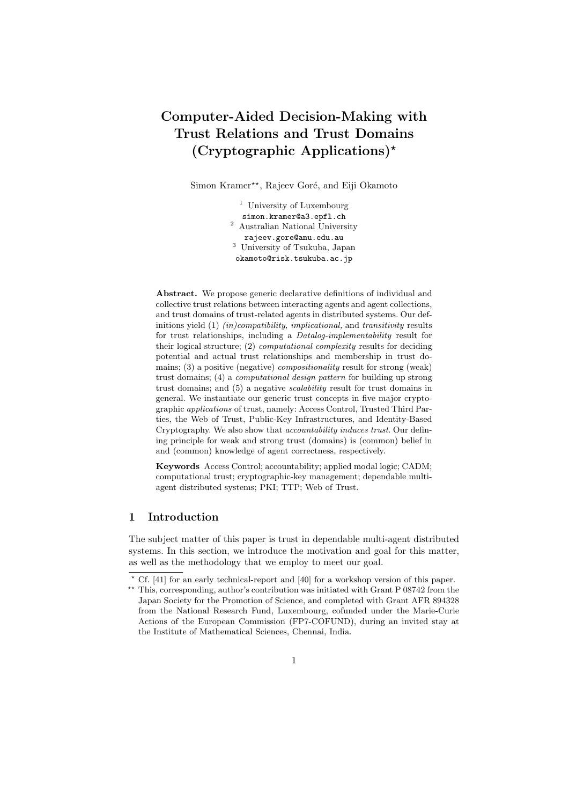# Computer-Aided Decision-Making with Trust Relations and Trust Domains (Cryptographic Applications)?

Simon Kramer\*\*, Rajeev Goré, and Eiji Okamoto

<sup>1</sup> University of Luxembourg simon.kramer@a3.epfl.ch <sup>2</sup> Australian National University rajeev.gore@anu.edu.au <sup>3</sup> University of Tsukuba, Japan okamoto@risk.tsukuba.ac.jp

Abstract. We propose generic declarative definitions of individual and collective trust relations between interacting agents and agent collections, and trust domains of trust-related agents in distributed systems. Our definitions yield  $(1)$  *(in)compatibility, implicational,* and *transitivity* results for trust relationships, including a Datalog-implementability result for their logical structure; (2) computational complexity results for deciding potential and actual trust relationships and membership in trust domains; (3) a positive (negative) compositionality result for strong (weak) trust domains; (4) a computational design pattern for building up strong trust domains; and (5) a negative scalability result for trust domains in general. We instantiate our generic trust concepts in five major cryptographic applications of trust, namely: Access Control, Trusted Third Parties, the Web of Trust, Public-Key Infrastructures, and Identity-Based Cryptography. We also show that accountability induces trust. Our defining principle for weak and strong trust (domains) is (common) belief in and (common) knowledge of agent correctness, respectively.

Keywords Access Control; accountability; applied modal logic; CADM; computational trust; cryptographic-key management; dependable multiagent distributed systems; PKI; TTP; Web of Trust.

## 1 Introduction

The subject matter of this paper is trust in dependable multi-agent distributed systems. In this section, we introduce the motivation and goal for this matter, as well as the methodology that we employ to meet our goal.

 $*$  Cf. [41] for an early technical-report and [40] for a workshop version of this paper.

<sup>\*\*</sup> This, corresponding, author's contribution was initiated with Grant P 08742 from the Japan Society for the Promotion of Science, and completed with Grant AFR 894328 from the National Research Fund, Luxembourg, cofunded under the Marie-Curie Actions of the European Commission (FP7-COFUND), during an invited stay at the Institute of Mathematical Sciences, Chennai, India.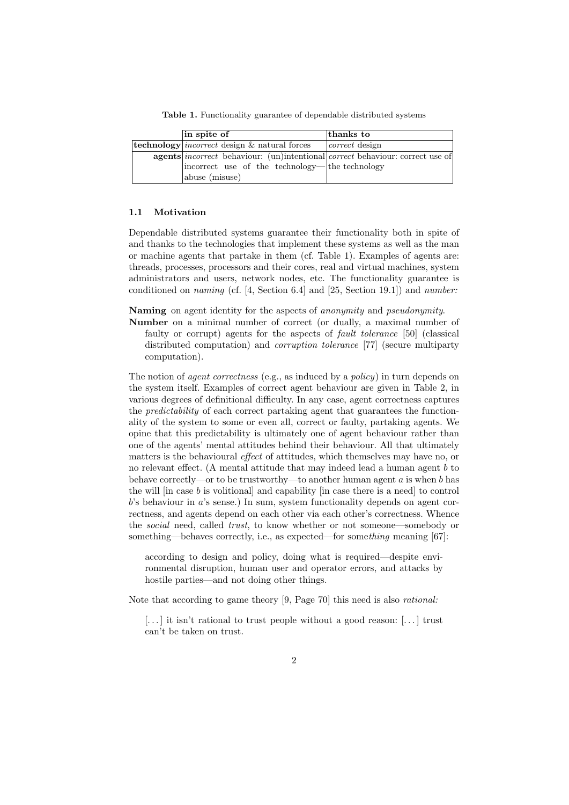in spite of thanks to **technology** *incorrect* design  $\&$  natural forces correct design agents incorrect behaviour: (un)intentional incorrect use of the technology abuse (misuse) correct behaviour: correct use of the technology

Table 1. Functionality guarantee of dependable distributed systems

#### 1.1 Motivation

Dependable distributed systems guarantee their functionality both in spite of and thanks to the technologies that implement these systems as well as the man or machine agents that partake in them (cf. Table 1). Examples of agents are: threads, processes, processors and their cores, real and virtual machines, system administrators and users, network nodes, etc. The functionality guarantee is conditioned on *naming* (cf.  $[4, Section 6.4]$  and  $[25, Section 19.1]$ ) and *number:* 

Naming on agent identity for the aspects of *anonymity* and *pseudonymity*.

Number on a minimal number of correct (or dually, a maximal number of faulty or corrupt) agents for the aspects of fault tolerance [50] (classical distributed computation) and corruption tolerance [77] (secure multiparty computation).

The notion of *agent correctness* (e.g., as induced by a *policy*) in turn depends on the system itself. Examples of correct agent behaviour are given in Table 2, in various degrees of definitional difficulty. In any case, agent correctness captures the predictability of each correct partaking agent that guarantees the functionality of the system to some or even all, correct or faulty, partaking agents. We opine that this predictability is ultimately one of agent behaviour rather than one of the agents' mental attitudes behind their behaviour. All that ultimately matters is the behavioural *effect* of attitudes, which themselves may have no, or no relevant effect. (A mental attitude that may indeed lead a human agent  $b$  to behave correctly—or to be trustworthy—to another human agent  $a$  is when  $b$  has the will  $\left| \text{in case } b \text{ is volitional} \right|$  and capability  $\left| \text{in case there is a need} \right|$  to control  $b$ 's behaviour in  $a$ 's sense.) In sum, system functionality depends on agent correctness, and agents depend on each other via each other's correctness. Whence the social need, called trust, to know whether or not someone—somebody or something—behaves correctly, i.e., as expected—for something meaning [67]:

according to design and policy, doing what is required—despite environmental disruption, human user and operator errors, and attacks by hostile parties—and not doing other things.

Note that according to game theory [9, Page 70] this need is also rational:

[...] it isn't rational to trust people without a good reason: [...] trust can't be taken on trust.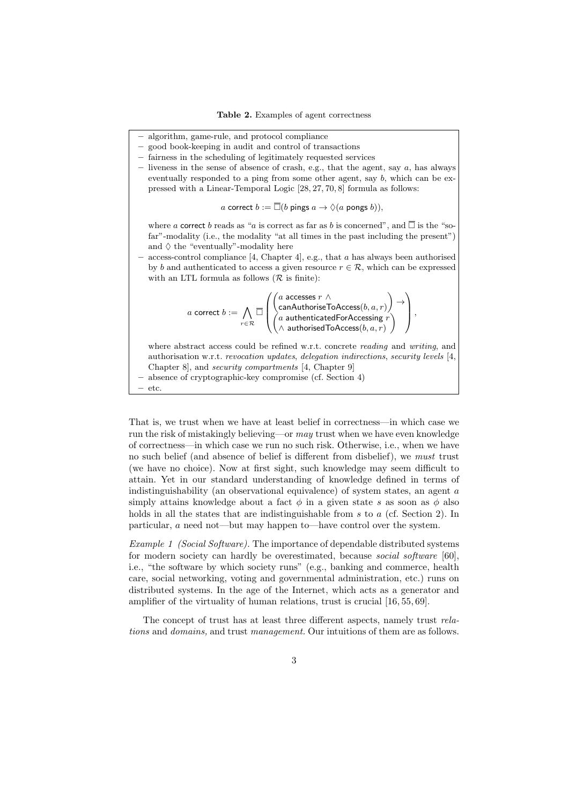- algorithm, game-rule, and protocol compliance
- good book-keeping in audit and control of transactions
- fairness in the scheduling of legitimately requested services
- $-$  liveness in the sense of absence of crash, e.g., that the agent, say  $a$ , has always eventually responded to a ping from some other agent, say b, which can be expressed with a Linear-Temporal Logic [28, 27, 70, 8] formula as follows:

*a* correct 
$$
b := \overline{\Box}(b \text{ pings } a \to \Diamond(a \text{ pongs } b)),
$$

where a correct b reads as "a is correct as far as b is concerned", and  $\overline{\Box}$  is the "sofar"-modality (i.e., the modality "at all times in the past including the present") and  $\diamondsuit$  the "eventually"-modality here

access-control compliance [4, Chapter 4], e.g., that  $a$  has always been authorised by b and authenticated to access a given resource  $r \in \mathcal{R}$ , which can be expressed with an LTL formula as follows  $(R$  is finite):

$$
a \text{ correct } b := \bigwedge_{r \in \mathcal{R}} \overline{\square} \left( \begin{pmatrix} a \text{ accesses } r \wedge \\ \text{canAuthoriseToAccess}(b,a,r) \\ a \text{ authenticatedForAccessing } r \\ \wedge \text{ authorizedToAccess}(b,a,r) \end{pmatrix} \rightarrow \right),
$$

where abstract access could be refined w.r.t. concrete *reading* and *writing*, and authorisation w.r.t. revocation updates, delegation indirections, security levels [4, Chapter 8], and security compartments [4, Chapter 9] – absence of cryptographic-key compromise (cf. Section 4) – etc.

That is, we trust when we have at least belief in correctness—in which case we run the risk of mistakingly believing—or may trust when we have even knowledge of correctness—in which case we run no such risk. Otherwise, i.e., when we have no such belief (and absence of belief is different from disbelief), we must trust (we have no choice). Now at first sight, such knowledge may seem difficult to attain. Yet in our standard understanding of knowledge defined in terms of indistinguishability (an observational equivalence) of system states, an agent  $a$ simply attains knowledge about a fact  $\phi$  in a given state s as soon as  $\phi$  also holds in all the states that are indistinguishable from s to a (cf. Section 2). In particular, a need not—but may happen to—have control over the system.

Example 1 (Social Software). The importance of dependable distributed systems for modern society can hardly be overestimated, because social software [60], i.e., "the software by which society runs" (e.g., banking and commerce, health care, social networking, voting and governmental administration, etc.) runs on distributed systems. In the age of the Internet, which acts as a generator and amplifier of the virtuality of human relations, trust is crucial [16, 55, 69].

The concept of trust has at least three different aspects, namely trust relations and domains, and trust management. Our intuitions of them are as follows.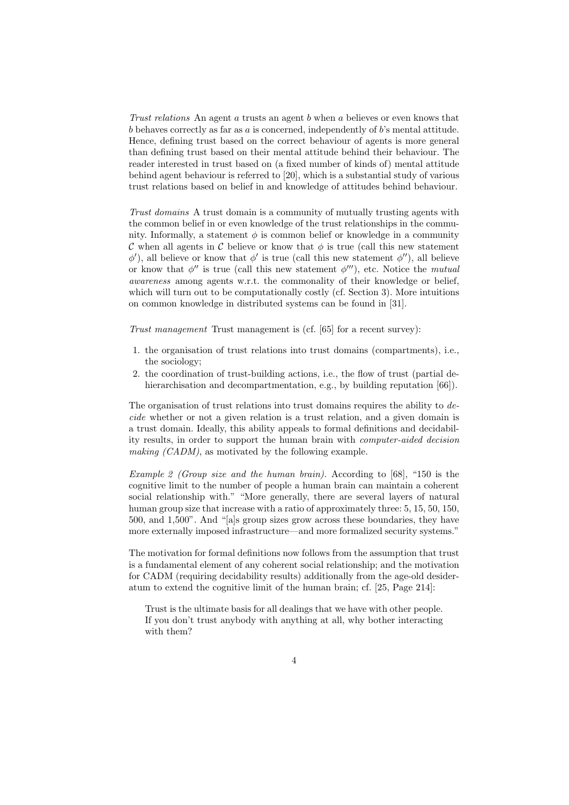Trust relations An agent a trusts an agent b when a believes or even knows that  $b$  behaves correctly as far as  $a$  is concerned, independently of  $b$ 's mental attitude. Hence, defining trust based on the correct behaviour of agents is more general than defining trust based on their mental attitude behind their behaviour. The reader interested in trust based on (a fixed number of kinds of) mental attitude behind agent behaviour is referred to [20], which is a substantial study of various trust relations based on belief in and knowledge of attitudes behind behaviour.

Trust domains A trust domain is a community of mutually trusting agents with the common belief in or even knowledge of the trust relationships in the community. Informally, a statement  $\phi$  is common belief or knowledge in a community C when all agents in C believe or know that  $\phi$  is true (call this new statement  $\phi'$ ), all believe or know that  $\phi'$  is true (call this new statement  $\phi''$ ), all believe or know that  $\phi''$  is true (call this new statement  $\phi'''$ ), etc. Notice the mutual awareness among agents w.r.t. the commonality of their knowledge or belief, which will turn out to be computationally costly (cf. Section 3). More intuitions on common knowledge in distributed systems can be found in [31].

Trust management Trust management is (cf. [65] for a recent survey):

- 1. the organisation of trust relations into trust domains (compartments), i.e., the sociology;
- 2. the coordination of trust-building actions, i.e., the flow of trust (partial dehierarchisation and decompartmentation, e.g., by building reputation [66]).

The organisation of trust relations into trust domains requires the ability to decide whether or not a given relation is a trust relation, and a given domain is a trust domain. Ideally, this ability appeals to formal definitions and decidability results, in order to support the human brain with computer-aided decision making (CADM), as motivated by the following example.

Example 2 (Group size and the human brain). According to [68], "150 is the cognitive limit to the number of people a human brain can maintain a coherent social relationship with." "More generally, there are several layers of natural human group size that increase with a ratio of approximately three: 5, 15, 50, 150, 500, and 1,500". And "[a]s group sizes grow across these boundaries, they have more externally imposed infrastructure—and more formalized security systems."

The motivation for formal definitions now follows from the assumption that trust is a fundamental element of any coherent social relationship; and the motivation for CADM (requiring decidability results) additionally from the age-old desideratum to extend the cognitive limit of the human brain; cf. [25, Page 214]:

Trust is the ultimate basis for all dealings that we have with other people. If you don't trust anybody with anything at all, why bother interacting with them?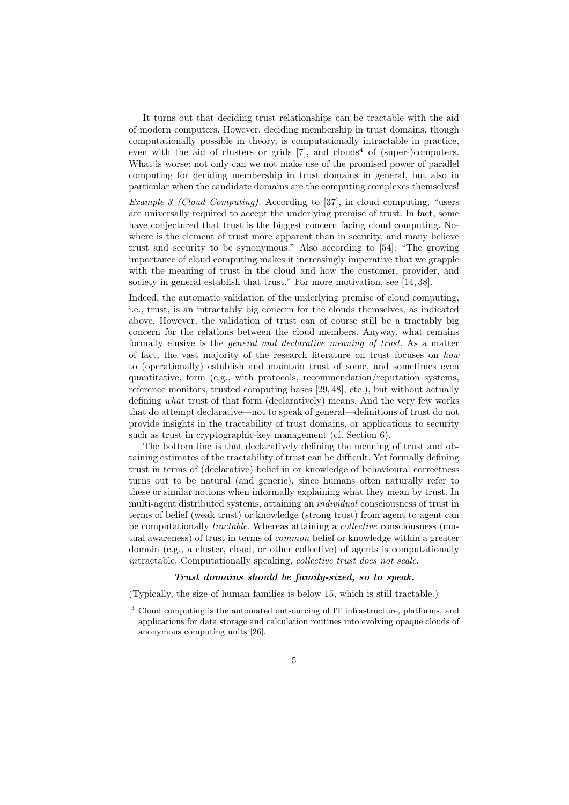It turns out that deciding trust relationships can be tractable with the aid of modern computers. However, deciding membership in trust domains, though computationally possible in theory, is computationally intractable in practice, even with the aid of clusters or grids  $[7]$ , and clouds<sup>4</sup> of (super-)computers. What is worse: not only can we not make use of the promised power of parallel computing for deciding membership in trust domains in general, but also in particular when the candidate domains are the computing complexes themselves!

Example 3 (Cloud Computing). According to [37], in cloud computing, "users are universally required to accept the underlying premise of trust. In fact, some have conjectured that trust is the biggest concern facing cloud computing. Nowhere is the element of trust more apparent than in security, and many believe trust and security to be synonymous." Also according to [54]: "The growing importance of cloud computing makes it increasingly imperative that we grapple with the meaning of trust in the cloud and how the customer, provider, and society in general establish that trust." For more motivation, see [14, 38].

Indeed, the automatic validation of the underlying premise of cloud computing, i.e., trust, is an intractably big concern for the clouds themselves, as indicated above. However, the validation of trust can of course still be a tractably big concern for the relations between the cloud members. Anyway, what remains formally elusive is the general and declarative meaning of trust. As a matter of fact, the vast majority of the research literature on trust focuses on how to (operationally) establish and maintain trust of some, and sometimes even quantitative, form (e.g., with protocols, recommendation/reputation systems, reference monitors, trusted computing bases [29, 48], etc.), but without actually defining what trust of that form (declaratively) means. And the very few works that do attempt declarative—not to speak of general—definitions of trust do not provide insights in the tractability of trust domains, or applications to security such as trust in cryptographic-key management (cf. Section 6).

The bottom line is that declaratively defining the meaning of trust and obtaining estimates of the tractability of trust can be difficult. Yet formally defining trust in terms of (declarative) belief in or knowledge of behavioural correctness turns out to be natural (and generic), since humans often naturally refer to these or similar notions when informally explaining what they mean by trust. In multi-agent distributed systems, attaining an *individual* consciousness of trust in terms of belief (weak trust) or knowledge (strong trust) from agent to agent can be computationally tractable. Whereas attaining a collective consciousness (mutual awareness) of trust in terms of common belief or knowledge within a greater domain (e.g., a cluster, cloud, or other collective) of agents is computationally intractable. Computationally speaking, collective trust does not scale.

#### Trust domains should be family-sized, so to speak.

(Typically, the size of human families is below 15, which is still tractable.)

<sup>4</sup> Cloud computing is the automated outsourcing of IT infrastructure, platforms, and applications for data storage and calculation routines into evolving opaque clouds of anonymous computing units [26].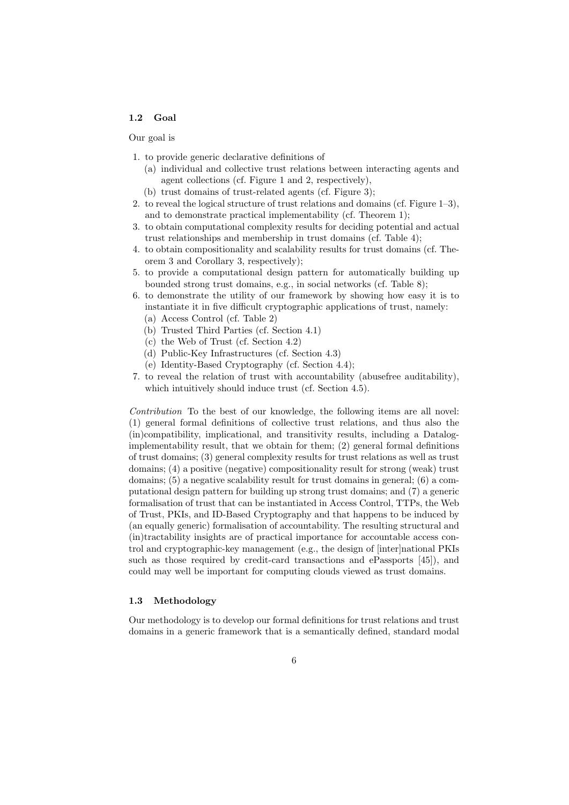## 1.2 Goal

#### Our goal is

- 1. to provide generic declarative definitions of
	- (a) individual and collective trust relations between interacting agents and agent collections (cf. Figure 1 and 2, respectively),
	- (b) trust domains of trust-related agents (cf. Figure 3);
- 2. to reveal the logical structure of trust relations and domains (cf. Figure 1–3), and to demonstrate practical implementability (cf. Theorem 1);
- 3. to obtain computational complexity results for deciding potential and actual trust relationships and membership in trust domains (cf. Table 4);
- 4. to obtain compositionality and scalability results for trust domains (cf. Theorem 3 and Corollary 3, respectively);
- 5. to provide a computational design pattern for automatically building up bounded strong trust domains, e.g., in social networks (cf. Table 8);
- 6. to demonstrate the utility of our framework by showing how easy it is to instantiate it in five difficult cryptographic applications of trust, namely:
	- (a) Access Control (cf. Table 2)
	- (b) Trusted Third Parties (cf. Section 4.1)
	- (c) the Web of Trust (cf. Section 4.2)
	- (d) Public-Key Infrastructures (cf. Section 4.3)
	- (e) Identity-Based Cryptography (cf. Section 4.4);
- 7. to reveal the relation of trust with accountability (abusefree auditability), which intuitively should induce trust (cf. Section 4.5).

Contribution To the best of our knowledge, the following items are all novel: (1) general formal definitions of collective trust relations, and thus also the (in)compatibility, implicational, and transitivity results, including a Datalogimplementability result, that we obtain for them; (2) general formal definitions of trust domains; (3) general complexity results for trust relations as well as trust domains; (4) a positive (negative) compositionality result for strong (weak) trust domains; (5) a negative scalability result for trust domains in general; (6) a computational design pattern for building up strong trust domains; and (7) a generic formalisation of trust that can be instantiated in Access Control, TTPs, the Web of Trust, PKIs, and ID-Based Cryptography and that happens to be induced by (an equally generic) formalisation of accountability. The resulting structural and (in)tractability insights are of practical importance for accountable access control and cryptographic-key management (e.g., the design of [inter]national PKIs such as those required by credit-card transactions and ePassports [45]), and could may well be important for computing clouds viewed as trust domains.

## 1.3 Methodology

Our methodology is to develop our formal definitions for trust relations and trust domains in a generic framework that is a semantically defined, standard modal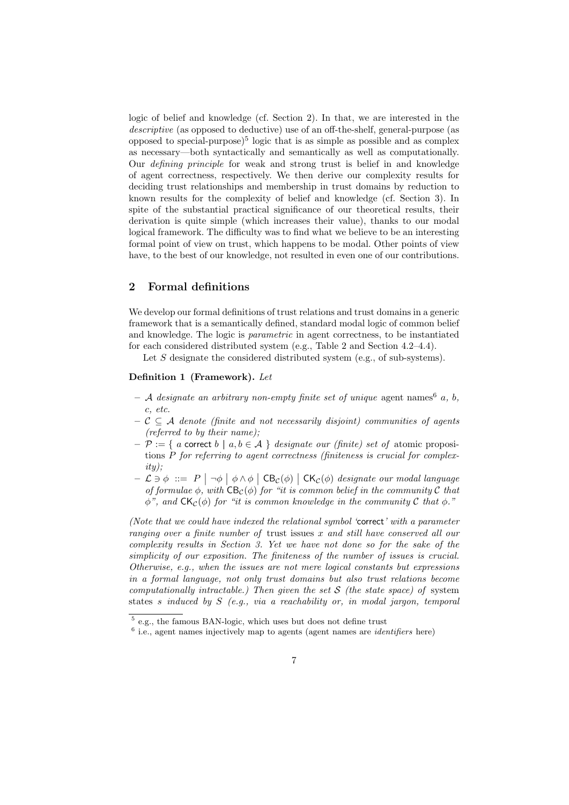logic of belief and knowledge (cf. Section 2). In that, we are interested in the descriptive (as opposed to deductive) use of an off-the-shelf, general-purpose (as opposed to special-purpose)<sup>5</sup> logic that is as simple as possible and as complex as necessary—both syntactically and semantically as well as computationally. Our defining principle for weak and strong trust is belief in and knowledge of agent correctness, respectively. We then derive our complexity results for deciding trust relationships and membership in trust domains by reduction to known results for the complexity of belief and knowledge (cf. Section 3). In spite of the substantial practical significance of our theoretical results, their derivation is quite simple (which increases their value), thanks to our modal logical framework. The difficulty was to find what we believe to be an interesting formal point of view on trust, which happens to be modal. Other points of view have, to the best of our knowledge, not resulted in even one of our contributions.

## 2 Formal definitions

We develop our formal definitions of trust relations and trust domains in a generic framework that is a semantically defined, standard modal logic of common belief and knowledge. The logic is parametric in agent correctness, to be instantiated for each considered distributed system (e.g., Table 2 and Section 4.2–4.4).

Let S designate the considered distributed system (e.g., of sub-systems).

#### Definition 1 (Framework). Let

- $-$  A designate an arbitrary non-empty finite set of unique agent names  $6$  a, b, c, etc.
- $C \subseteq A$  denote (finite and not necessarily disjoint) communities of agents (referred to by their name);
- $-\mathcal{P} := \{ a$  correct  $b \mid a, b \in \mathcal{A} \}$  designate our (finite) set of atomic propositions P for referring to agent correctness (finiteness is crucial for complex $itu)$ :
- $-\mathcal{L} \ni \phi := P \mid \neg \phi \mid \phi \land \phi \mid \text{CB}_\mathcal{C}(\phi) \mid \text{CK}_\mathcal{C}(\phi)$  designate our modal language of formulae  $\phi$ , with  $\text{CB}_c(\phi)$  for "it is common belief in the community C that  $\phi$ ", and  $CK_{\mathcal{C}}(\phi)$  for "it is common knowledge in the community C that  $\phi$ ."

(Note that we could have indexed the relational symbol 'correct' with a parameter ranging over a finite number of trust issues x and still have conserved all our complexity results in Section 3. Yet we have not done so for the sake of the simplicity of our exposition. The finiteness of the number of issues is crucial. Otherwise, e.g., when the issues are not mere logical constants but expressions in a formal language, not only trust domains but also trust relations become computationally intractable.) Then given the set  $S$  (the state space) of system states s induced by  $S$  (e.g., via a reachability or, in modal jargon, temporal

<sup>5</sup> e.g., the famous BAN-logic, which uses but does not define trust

 $6$  i.e., agent names injectively map to agents (agent names are *identifiers* here)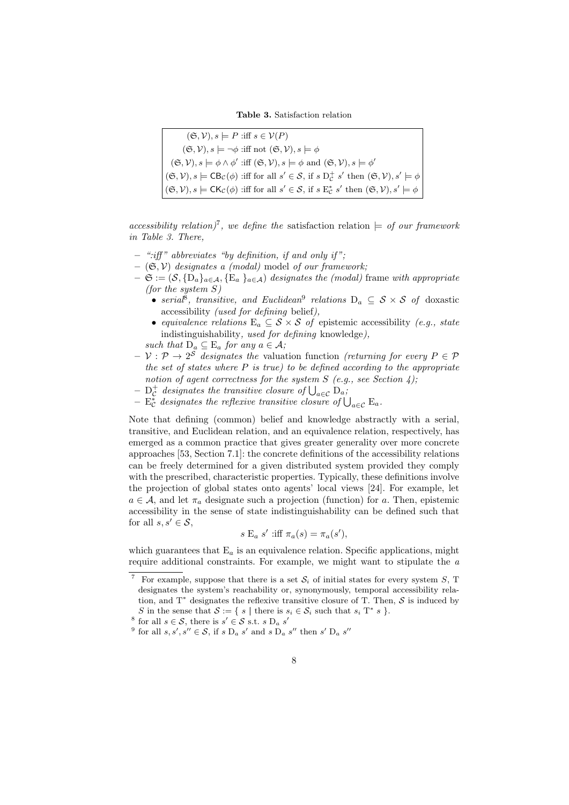Table 3. Satisfaction relation

 $(\mathfrak{S}, \mathcal{V}), s \models P$  :iff  $s \in \mathcal{V}(P)$  $(\mathfrak{S}, \mathcal{V}), s \models \neg \phi \text{ iff not } (\mathfrak{S}, \mathcal{V}), s \models \phi$  $(\mathfrak{S}, \mathcal{V}), s \models \phi \land \phi'$  :iff  $(\mathfrak{S}, \mathcal{V}), s \models \phi$  and  $(\mathfrak{S}, \mathcal{V}), s \models \phi'$  $(\mathfrak{S}, \mathcal{V}), s \models \mathsf{CB}_{\mathcal{C}}(\phi)$  :iff for all  $s' \in \mathcal{S}$ , if  $s \mathsf{D}^+_{\mathcal{C}} s'$  then  $(\mathfrak{S}, \mathcal{V}), s' \models \phi$  $(\mathfrak{S}, \mathcal{V}), s \models \mathsf{CK}_\mathcal{C}(\phi)$  :iff for all  $s' \in \mathcal{S}$ , if  $s \to_{\mathcal{C}}^* s'$  then  $(\mathfrak{S}, \mathcal{V}), s' \models \phi$ 

accessibility relation)<sup>7</sup>, we define the satisfaction relation  $\models$  of our framework in Table 3. There,

- $-$  ":iff" abbreviates "by definition, if and only if";
- $-$  ( $\mathfrak{S}, \mathcal{V}$ ) designates a (modal) model of our framework;
- $-\mathfrak{S} := (\mathcal{S}, \{D_a\}_{a \in \mathcal{A}}, \{E_a\}_{a \in \mathcal{A}})$  designates the (modal) frame with appropriate (for the system  $S$ )
	- serial<sup>8</sup>, transitive, and Euclidean<sup>9</sup> relations  $D_a \subseteq S \times S$  of doxastic accessibility (used for defining belief),
	- equivalence relations  $E_a \subseteq S \times S$  of epistemic accessibility (e.g., state indistinguishability, used for defining knowledge),
	- such that  $D_a \subseteq E_a$  for any  $a \in \mathcal{A}$ ;
- $-\mathcal{V}: \mathcal{P} \to 2^{\mathcal{S}}$  designates the valuation function (returning for every  $P \in \mathcal{P}$ the set of states where  $P$  is true) to be defined according to the appropriate notion of agent correctness for the system  $S$  (e.g., see Section 4);
- $\mathrm{D}_{\mathcal{C}}^{+}$  designates the transitive closure of  $\bigcup_{a \in \mathcal{C}} \mathrm{D}_{a}$ ;
- $E_{\mathcal{C}}^*$  designates the reflexive transitive closure of  $\bigcup_{a \in \mathcal{C}} E_a$ .

Note that defining (common) belief and knowledge abstractly with a serial, transitive, and Euclidean relation, and an equivalence relation, respectively, has emerged as a common practice that gives greater generality over more concrete approaches [53, Section 7.1]: the concrete definitions of the accessibility relations can be freely determined for a given distributed system provided they comply with the prescribed, characteristic properties. Typically, these definitions involve the projection of global states onto agents' local views [24]. For example, let  $a \in \mathcal{A}$ , and let  $\pi_a$  designate such a projection (function) for a. Then, epistemic accessibility in the sense of state indistinguishability can be defined such that for all  $s, s' \in \mathcal{S}$ ,

$$
s \to_a s' \text{ iff } \pi_a(s) = \pi_a(s'),
$$

which guarantees that  $E_a$  is an equivalence relation. Specific applications, might require additional constraints. For example, we might want to stipulate the a

For example, suppose that there is a set  $S_i$  of initial states for every system S, T designates the system's reachability or, synonymously, temporal accessibility relation, and  $T^*$  designates the reflexive transitive closure of T. Then,  $S$  is induced by S in the sense that  $S := \{ s \mid \text{there is } s_i \in S_i \text{ such that } s_i \text{ } T^* \text{ } s \}.$ 

<sup>&</sup>lt;sup>8</sup> for all  $s \in \mathcal{S}$ , there is  $s' \in \mathcal{S}$  s.t.  $s D_a s'$ 

<sup>&</sup>lt;sup>9</sup> for all  $s, s', s'' \in S$ , if  $s D_a s'$  and  $s D_a s''$  then  $s' D_a s''$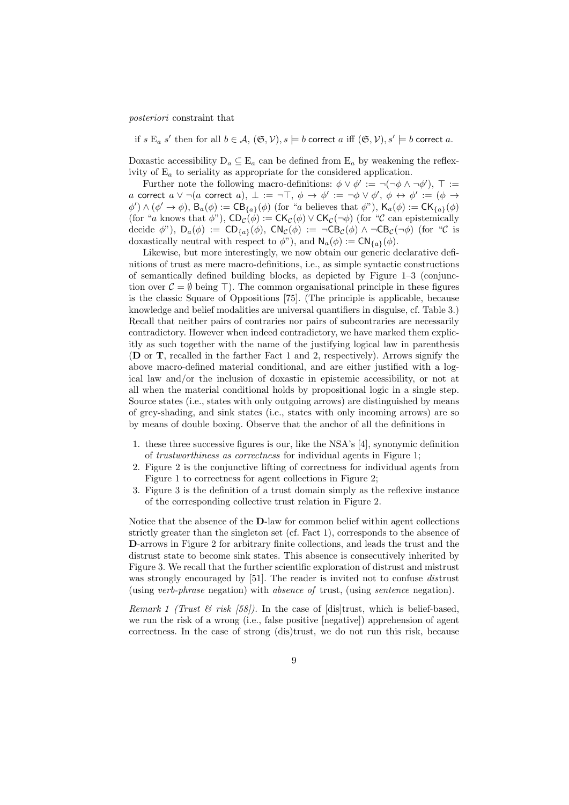posteriori constraint that

if  $s \to a s'$  then for all  $b \in A$ ,  $(\mathfrak{S}, \mathcal{V}), s \models b$  correct  $a$  iff  $(\mathfrak{S}, \mathcal{V}), s' \models b$  correct  $a$ .

Doxastic accessibility  $D_a \subseteq E_a$  can be defined from  $E_a$  by weakening the reflexivity of  $E_a$  to seriality as appropriate for the considered application.

Further note the following macro-definitions:  $\phi \vee \phi' := \neg(\neg \phi \wedge \neg \phi'), \top :=$ a correct  $a \vee \neg (a$  correct  $a), \perp := \neg \top, \, \phi \to \phi' := \neg \phi \vee \phi', \, \phi \leftrightarrow \phi' := (\phi \to \phi')$  $\phi'$ )  $\wedge$  ( $\phi' \rightarrow \phi$ ),  $B_a(\phi) := CB_{\{a\}}(\phi)$  (for "a believes that  $\phi$ "),  $K_a(\phi) := CK_{\{a\}}(\phi)$ (for "a knows that  $\phi$ "),  $CD_{\mathcal{C}}(\phi) := CK_{\mathcal{C}}(\phi) \vee CK_{\mathcal{C}}(\neg \phi)$  (for "C can epistemically decide  $\phi$ "),  $D_a(\phi) := CD_{\{a\}}(\phi)$ ,  $CN_c(\phi) := \neg CB_c(\phi) \land \neg CB_c(\neg \phi)$  (for "C is doxastically neutral with respect to  $\phi$ "), and  $\mathsf{N}_a(\phi) := \mathsf{CN}_{\{a\}}(\phi)$ .

Likewise, but more interestingly, we now obtain our generic declarative definitions of trust as mere macro-definitions, i.e., as simple syntactic constructions of semantically defined building blocks, as depicted by Figure 1–3 (conjunction over  $\mathcal{C} = \emptyset$  being  $\top$ ). The common organisational principle in these figures is the classic Square of Oppositions [75]. (The principle is applicable, because knowledge and belief modalities are universal quantifiers in disguise, cf. Table 3.) Recall that neither pairs of contraries nor pairs of subcontraries are necessarily contradictory. However when indeed contradictory, we have marked them explicitly as such together with the name of the justifying logical law in parenthesis (D or T, recalled in the farther Fact 1 and 2, respectively). Arrows signify the above macro-defined material conditional, and are either justified with a logical law and/or the inclusion of doxastic in epistemic accessibility, or not at all when the material conditional holds by propositional logic in a single step. Source states (i.e., states with only outgoing arrows) are distinguished by means of grey-shading, and sink states (i.e., states with only incoming arrows) are so by means of double boxing. Observe that the anchor of all the definitions in

- 1. these three successive figures is our, like the NSA's [4], synonymic definition of trustworthiness as correctness for individual agents in Figure 1;
- 2. Figure 2 is the conjunctive lifting of correctness for individual agents from Figure 1 to correctness for agent collections in Figure 2;
- 3. Figure 3 is the definition of a trust domain simply as the reflexive instance of the corresponding collective trust relation in Figure 2.

Notice that the absence of the D-law for common belief within agent collections strictly greater than the singleton set (cf. Fact 1), corresponds to the absence of D-arrows in Figure 2 for arbitrary finite collections, and leads the trust and the distrust state to become sink states. This absence is consecutively inherited by Figure 3. We recall that the further scientific exploration of distrust and mistrust was strongly encouraged by [51]. The reader is invited not to confuse *distrust* (using verb-phrase negation) with absence of trust, (using sentence negation).

Remark 1 (Trust  $\mathcal{B}$  risk [58]). In the case of [dis]trust, which is belief-based, we run the risk of a wrong (i.e., false positive [negative]) apprehension of agent correctness. In the case of strong (dis)trust, we do not run this risk, because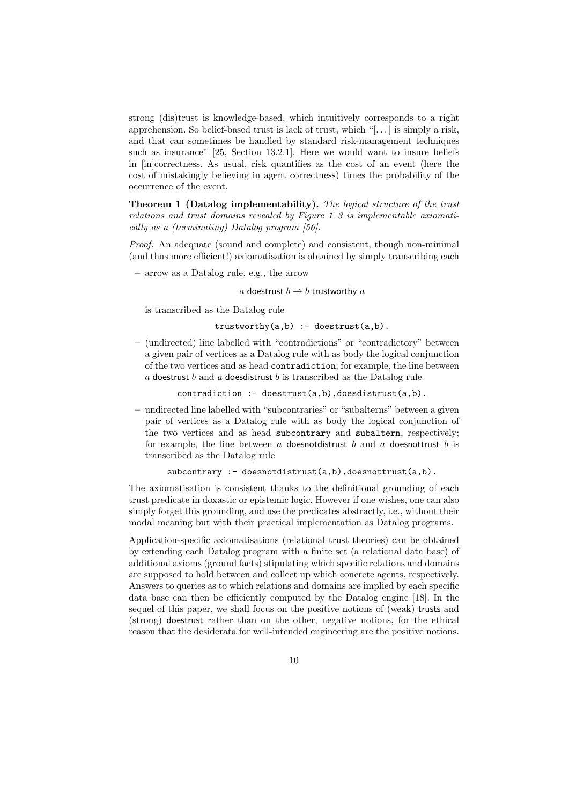strong (dis)trust is knowledge-based, which intuitively corresponds to a right apprehension. So belief-based trust is lack of trust, which "[. . . ] is simply a risk, and that can sometimes be handled by standard risk-management techniques such as insurance" [25, Section 13.2.1]. Here we would want to insure beliefs in [in]correctness. As usual, risk quantifies as the cost of an event (here the cost of mistakingly believing in agent correctness) times the probability of the occurrence of the event.

Theorem 1 (Datalog implementability). The logical structure of the trust relations and trust domains revealed by Figure  $1-3$  is implementable axiomatically as a (terminating) Datalog program [56].

Proof. An adequate (sound and complete) and consistent, though non-minimal (and thus more efficient!) axiomatisation is obtained by simply transcribing each

– arrow as a Datalog rule, e.g., the arrow

a doestrust  $b \rightarrow b$  trustworthy a

is transcribed as the Datalog rule

 $trustworthy(a,b) :- doesnrust(a,b).$ 

– (undirected) line labelled with "contradictions" or "contradictory" between a given pair of vertices as a Datalog rule with as body the logical conjunction of the two vertices and as head contradiction; for example, the line between  $a$  doestrust  $b$  and  $a$  doesdistrust  $b$  is transcribed as the Datalog rule

 $contradiction : doestrust(a,b)$ ,  $doesdistrust(a,b)$ .

– undirected line labelled with "subcontraries" or "subalterns" between a given pair of vertices as a Datalog rule with as body the logical conjunction of the two vertices and as head subcontrary and subaltern, respectively; for example, the line between  $a$  doesnotdistrust  $b$  and  $a$  doesnottrust  $b$  is transcribed as the Datalog rule

```
subcontrary : - doesnotdistrust(a,b),doesnottrust(a,b).
```
The axiomatisation is consistent thanks to the definitional grounding of each trust predicate in doxastic or epistemic logic. However if one wishes, one can also simply forget this grounding, and use the predicates abstractly, i.e., without their modal meaning but with their practical implementation as Datalog programs.

Application-specific axiomatisations (relational trust theories) can be obtained by extending each Datalog program with a finite set (a relational data base) of additional axioms (ground facts) stipulating which specific relations and domains are supposed to hold between and collect up which concrete agents, respectively. Answers to queries as to which relations and domains are implied by each specific data base can then be efficiently computed by the Datalog engine [18]. In the sequel of this paper, we shall focus on the positive notions of (weak) trusts and (strong) doestrust rather than on the other, negative notions, for the ethical reason that the desiderata for well-intended engineering are the positive notions.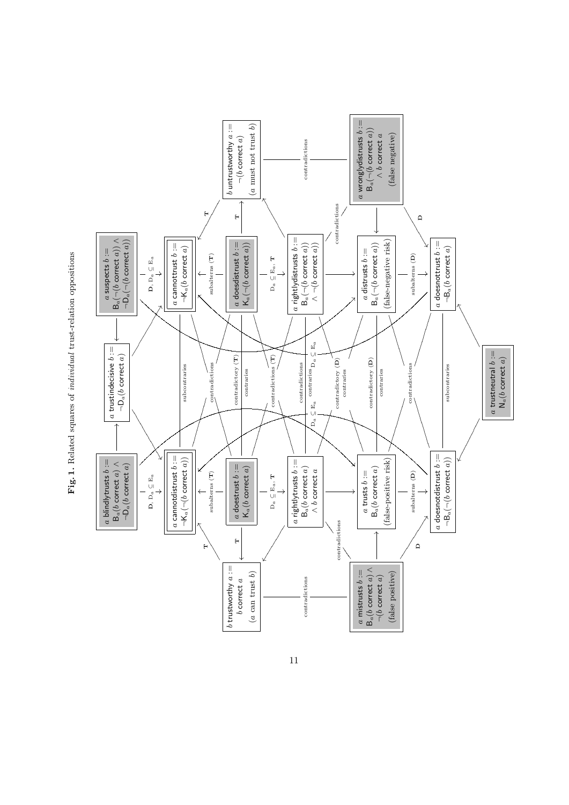

Fig. 1. Related squares of individual trust-relation oppositions Fig. 1. Related squares of individual trust-relation oppositions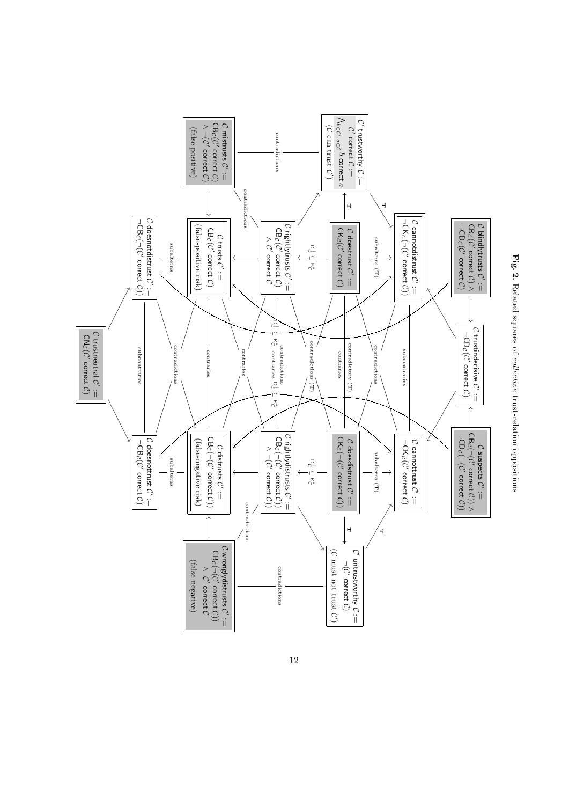

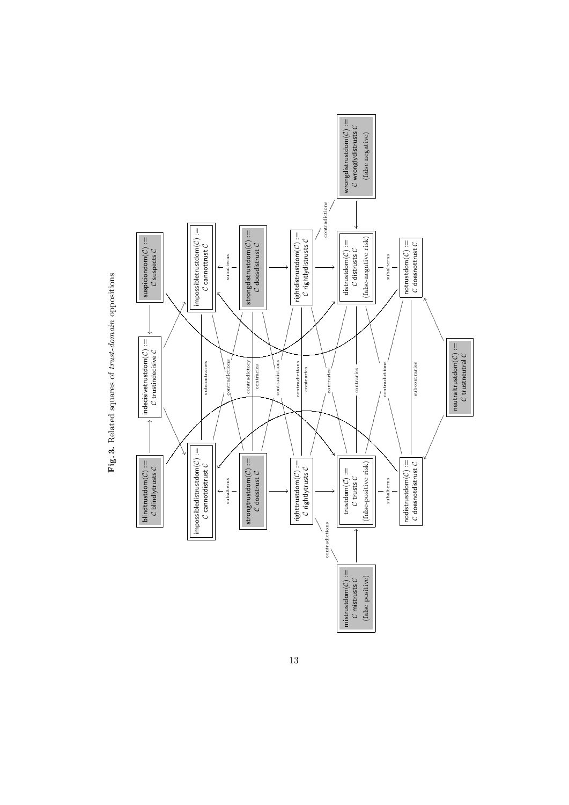

Fig. 3. Related squares of trust-domain oppositions Fig. 3. Related squares of trust-domain oppositions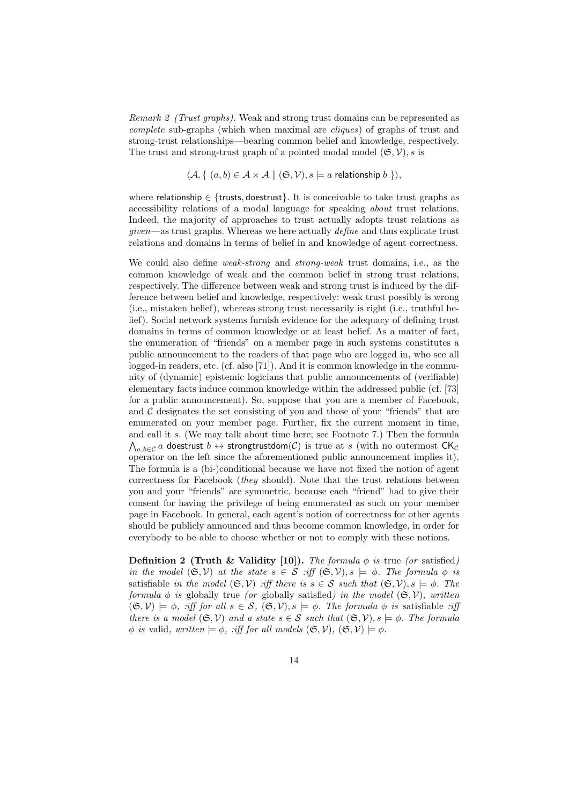Remark 2 (Trust graphs). Weak and strong trust domains can be represented as complete sub-graphs (which when maximal are cliques) of graphs of trust and strong-trust relationships—bearing common belief and knowledge, respectively. The trust and strong-trust graph of a pointed modal model  $(\mathfrak{S}, \mathcal{V})$ , s is

$$
\langle A, \{ (a, b) \in A \times A \mid (\mathfrak{S}, \mathcal{V}), s \models a \text{ relationship } b \} \rangle
$$

where relationship  $\in$  {trusts, doestrust}. It is conceivable to take trust graphs as accessibility relations of a modal language for speaking about trust relations. Indeed, the majority of approaches to trust actually adopts trust relations as given—as trust graphs. Whereas we here actually define and thus explicate trust relations and domains in terms of belief in and knowledge of agent correctness.

We could also define *weak-strong* and *strong-weak* trust domains, i.e., as the common knowledge of weak and the common belief in strong trust relations, respectively. The difference between weak and strong trust is induced by the difference between belief and knowledge, respectively: weak trust possibly is wrong (i.e., mistaken belief), whereas strong trust necessarily is right (i.e., truthful belief). Social network systems furnish evidence for the adequacy of defining trust domains in terms of common knowledge or at least belief. As a matter of fact, the enumeration of "friends" on a member page in such systems constitutes a public announcement to the readers of that page who are logged in, who see all logged-in readers, etc. (cf. also [71]). And it is common knowledge in the community of (dynamic) epistemic logicians that public announcements of (verifiable) elementary facts induce common knowledge within the addressed public (cf. [73] for a public announcement). So, suppose that you are a member of Facebook, and  $C$  designates the set consisting of you and those of your "friends" that are enumerated on your member page. Further, fix the current moment in time, and call it s. (We may talk about time here; see Footnote 7.) Then the formula  $\bigwedge_{a,b\in\mathcal{C}}a$  doestrust  $b\leftrightarrow\textsf{strongtrustdom}(\mathcal{C})$  is true at  $s$  (with no outermost  $\mathsf{CK}_\mathcal{C}$ operator on the left since the aforementioned public announcement implies it). The formula is a (bi-)conditional because we have not fixed the notion of agent correctness for Facebook (they should). Note that the trust relations between you and your "friends" are symmetric, because each "friend" had to give their consent for having the privilege of being enumerated as such on your member page in Facebook. In general, each agent's notion of correctness for other agents should be publicly announced and thus become common knowledge, in order for everybody to be able to choose whether or not to comply with these notions.

Definition 2 (Truth & Validity [10]). The formula  $\phi$  is true (or satisfied) in the model  $(\mathfrak{S}, \mathcal{V})$  at the state  $s \in \mathcal{S}$  :iff  $(\mathfrak{S}, \mathcal{V}), s \models \phi$ . The formula  $\phi$  is satisfiable in the model  $(\mathfrak{S}, \mathcal{V})$  :iff there is  $s \in \mathcal{S}$  such that  $(\mathfrak{S}, \mathcal{V}), s \models \phi$ . The formula  $\phi$  is globally true (or globally satisfied) in the model  $(\mathfrak{S}, \mathcal{V})$ , written  $(\mathfrak{S}, \mathcal{V}) \models \phi$ , :iff for all  $s \in \mathcal{S}$ ,  $(\mathfrak{S}, \mathcal{V})$ ,  $s \models \phi$ . The formula  $\phi$  is satisfiable :iff there is a model  $(\mathfrak{S}, \mathcal{V})$  and a state  $s \in \mathcal{S}$  such that  $(\mathfrak{S}, \mathcal{V}), s \models \phi$ . The formula  $\phi$  is valid, written  $\models \phi$ , :iff for all models  $(\mathfrak{S}, \mathcal{V}), (\mathfrak{S}, \mathcal{V}) \models \phi$ .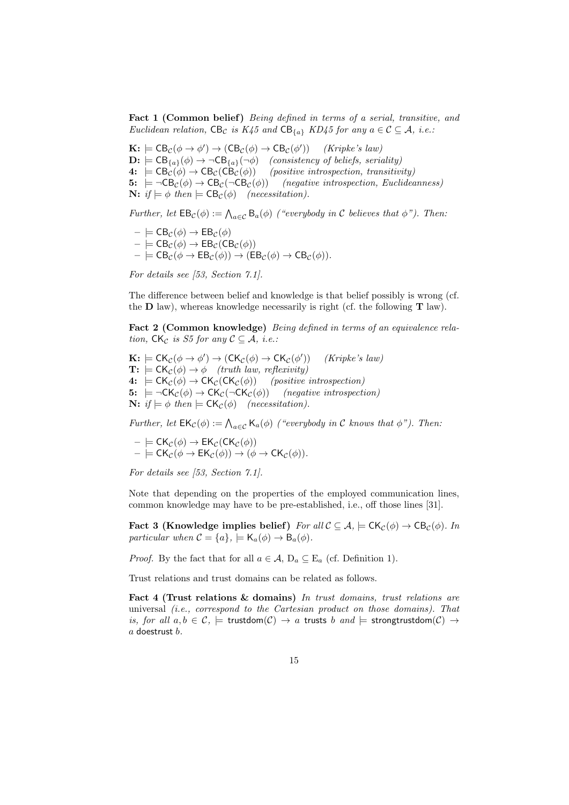Fact 1 (Common belief) Being defined in terms of a serial, transitive, and Euclidean relation,  $CB_{\mathcal{C}}$  is  $K_45$  and  $CB_{\{a\}}$   $KD_45$  for any  $a \in \mathcal{C} \subseteq \mathcal{A}$ , i.e.:

 $\mathbf{K}$ :  $\models$  CB<sub>C</sub>( $\phi \rightarrow \phi'$ )  $\rightarrow$  (CB<sub>C</sub>( $\phi$ )  $\rightarrow$  CB<sub>C</sub>( $\phi'$ )) (*Kripke's law*)  $\mathbf{D:} \models \mathsf{CB}_{\{a\}}(\phi) \rightarrow \neg \mathsf{CB}_{\{a\}}(\neg \phi)$  (consistency of beliefs, seriality)<br>  $4: \models \mathsf{CB}_{\mathcal{C}}(\phi) \rightarrow \mathsf{CB}_{\mathcal{C}}(\mathsf{CB}_{\mathcal{C}}(\phi))$  (positive introspection, transitive  $(positive\ introspection, \ transitivity)$ 5:  $\models \neg CB_{\mathcal{C}}(\phi) \rightarrow CB_{\mathcal{C}}(\neg CB_{\mathcal{C}}(\phi))$  (negative introspection, Euclideanness) **N:**  $if \models \phi$  then  $\models$   $CB_{\mathcal{C}}(\phi)$  (necessitation).

Further, let  $\text{EB}_{\mathcal{C}}(\phi) := \bigwedge_{a \in \mathcal{C}} \text{B}_{a}(\phi)$  ("everybody in C believes that  $\phi$ "). Then:

$$
\begin{array}{l}\n- \models \text{CB}_{\mathcal{C}}(\phi) \rightarrow \text{EB}_{\mathcal{C}}(\phi) \\
- \models \text{CB}_{\mathcal{C}}(\phi) \rightarrow \text{EB}_{\mathcal{C}}(\text{CB}_{\mathcal{C}}(\phi)) \\
- \models \text{CB}_{\mathcal{C}}(\phi \rightarrow \text{EB}_{\mathcal{C}}(\phi)) \rightarrow (\text{EB}_{\mathcal{C}}(\phi) \rightarrow \text{CB}_{\mathcal{C}}(\phi)).\n\end{array}
$$

For details see [53, Section 7.1].

The difference between belief and knowledge is that belief possibly is wrong (cf. the  $\bf{D}$  law), whereas knowledge necessarily is right (cf. the following  $\bf{T}$  law).

Fact 2 (Common knowledge) Being defined in terms of an equivalence relation,  $CK_C$  is S5 for any  $C \subseteq \mathcal{A}$ , i.e.:

 $\mathbf{K:} \models \mathsf{CK}_{\mathcal{C}}(\phi \to \phi') \to (\mathsf{CK}_{\mathcal{C}}(\phi) \to \mathsf{CK}_{\mathcal{C}}(\phi')$ )) (Kripke's law)  $\mathbf{T:} \models \mathsf{CK}_{\mathcal{C}}(\phi) \rightarrow \phi$  (truth law, reflexivity) 4:  $\models CK_{\mathcal{C}}(\phi) \rightarrow CK_{\mathcal{C}}(CK_{\mathcal{C}}(\phi))$  (positive introspection) 5:  $= \neg CK_{\mathcal{C}}(\phi) \rightarrow CK_{\mathcal{C}}(\neg CK_{\mathcal{C}}(\phi))$  (negative introspection) **N:** if  $\models \phi$  then  $\models CK_{\mathcal{C}}(\phi)$  (necessitation).

Further, let  $\mathsf{EK}_{\mathcal{C}}(\phi) := \bigwedge_{a \in \mathcal{C}} \mathsf{K}_a(\phi)$  ("everybody in C knows that  $\phi$ "). Then:

 $\models$  CK $_{\mathcal{C}}(\phi)$   $\rightarrow$  EK $_{\mathcal{C}}$ (CK $_{\mathcal{C}}(\phi)$ )  $- \models \mathsf{CK}_{\mathcal{C}}(\phi \to \mathsf{EK}_{\mathcal{C}}(\phi)) \to (\phi \to \mathsf{CK}_{\mathcal{C}}(\phi)).$ 

For details see [53, Section 7.1].

Note that depending on the properties of the employed communication lines, common knowledge may have to be pre-established, i.e., off those lines [31].

Fact 3 (Knowledge implies belief) For all  $\mathcal{C} \subseteq \mathcal{A}$ ,  $\models \mathsf{CK}_{\mathcal{C}}(\phi) \rightarrow \mathsf{CB}_{\mathcal{C}}(\phi)$ . In particular when  $\mathcal{C} = \{a\}, \models \mathsf{K}_a(\phi) \rightarrow \mathsf{B}_a(\phi)$ .

*Proof.* By the fact that for all  $a \in \mathcal{A}$ ,  $D_a \subseteq E_a$  (cf. Definition 1).

Trust relations and trust domains can be related as follows.

Fact 4 (Trust relations & domains) In trust domains, trust relations are universal  $(i.e., correspond to the Cartesian product on those domains). That$ is, for all  $a, b \in \mathcal{C}$ ,  $\models$  trustdom $(\mathcal{C}) \rightarrow a$  trusts b and  $\models$  strongtrustdom $(\mathcal{C}) \rightarrow$  $a$  doestrust  $b$ .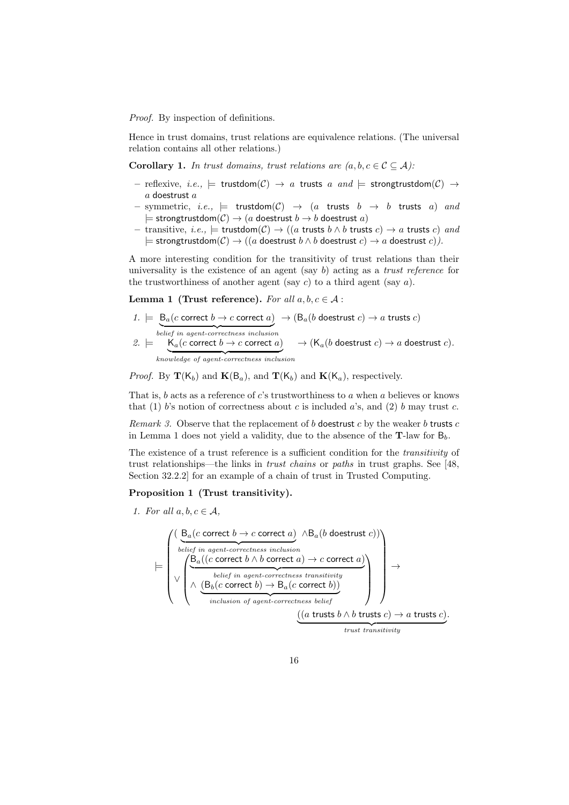Proof. By inspection of definitions.

Hence in trust domains, trust relations are equivalence relations. (The universal relation contains all other relations.)

**Corollary 1.** In trust domains, trust relations are  $(a, b, c \in C \subseteq A)$ :

- reflexive, i.e.,  $\models$  trustdom $(C) \rightarrow a$  trusts a and  $\models$  strongtrustdom $(C) \rightarrow$  $a$  doestrust  $a$
- symmetric, i.e.,  $\models$  trustdom $(C) \rightarrow (a$  trusts  $b \rightarrow b$  trusts a) and  $\models$  strongtrustdom $(C) \rightarrow (a$  doestrust  $b \rightarrow b$  doestrust  $a)$
- transitive, *i.e.*,  $\models$  trustdom(*C*) → ((*a* trusts *b*  $\land$  *b* trusts *c*) → *a* trusts *c*) and  $\models$  strongtrustdom $(C) \rightarrow ((a$  doestrust  $b \land b$  doestrust  $c) \rightarrow a$  doestrust  $c)$ ).

A more interesting condition for the transitivity of trust relations than their universality is the existence of an agent (say b) acting as a *trust reference* for the trustworthiness of another agent (say  $c$ ) to a third agent (say  $a$ ).

**Lemma 1 (Trust reference).** For all  $a, b, c \in \mathcal{A}$ :

$$
1. \models \underbrace{\mathsf{B}_a(c \text{ correct } b \to c \text{ correct } a)}_{belief \text{ in agent-correctness inclusion}} \rightarrow (\mathsf{B}_a(b \text{ docstrust } c) \to a \text{ trusts } c)
$$
\n
$$
2. \models \underbrace{\mathsf{K}_a(c \text{ correct } b \to c \text{ correct } a)}_{knowledge \text{ of agent-correctness inclusion}} \rightarrow (\mathsf{K}_a(b \text{ docstrust } c) \to a \text{ docstrust } c).
$$

*Proof.* By  $\mathbf{T}(\mathsf{K}_{b})$  and  $\mathbf{K}(\mathsf{B}_{a})$ , and  $\mathbf{T}(\mathsf{K}_{b})$  and  $\mathbf{K}(\mathsf{K}_{a})$ , respectively.

That is,  $b$  acts as a reference of  $c$ 's trustworthiness to  $a$  when  $a$  believes or knows that (1) b's notion of correctness about c is included a's, and (2) b may trust c.

Remark 3. Observe that the replacement of b doestrust c by the weaker b trusts  $c$ in Lemma 1 does not yield a validity, due to the absence of the  $T$ -law for  $B_b$ .

The existence of a trust reference is a sufficient condition for the *transitivity* of trust relationships—the links in trust chains or paths in trust graphs. See [48, Section 32.2.2] for an example of a chain of trust in Trusted Computing.

#### Proposition 1 (Trust transitivity).

1. For all  $a, b, c \in \mathcal{A}$ ,

$$
\begin{aligned}\n&\models \left(\begin{array}{c}\n\left(\frac{B_a(c\text{ correct }b \rightarrow c\text{ correct }a)}{b \text{ eleig in agent-correctness inclusion}} \land B_a(b\text{ desertust }c)\right) \\
\downarrow \frac{B_a((c\text{ correct }b \land b\text{ correct }a) \rightarrow c\text{ correct }a)}{\left(\frac{B_b(c\text{ correct }b) \rightarrow B_a(c\text{ correct }b)\right)}{i \text{nclusion of agent-correctness belief}}\right)}\n\end{array}\right) \\
&\rightarrow \\
&\downarrow
$$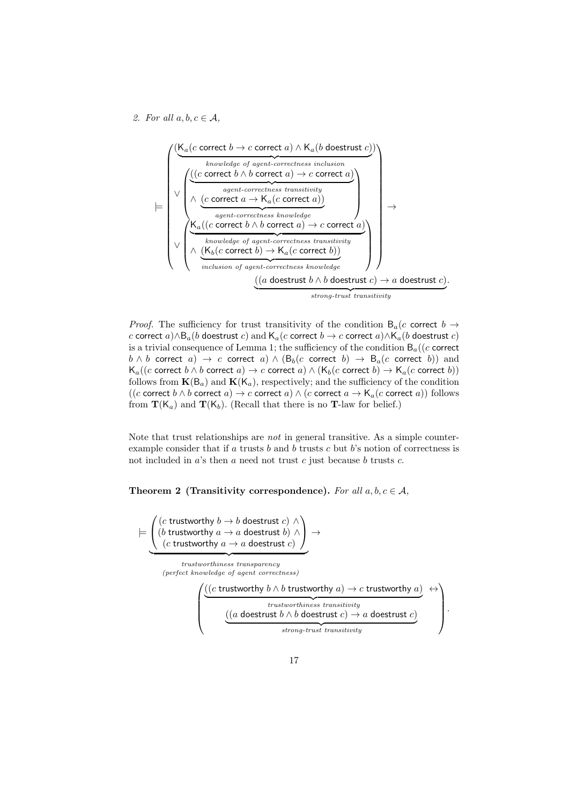2. For all  $a, b, c \in \mathcal{A}$ ,

|=



*Proof.* The sufficiency for trust transitivity of the condition  $B_a(c$  correct  $b \rightarrow$ c correct  $a) \wedge B_a(b$  doestrust  $c)$  and  $\mathsf{K}_a(c$  correct  $b \to c$  correct  $a) \wedge \mathsf{K}_a(b$  doestrust  $c)$ is a trivial consequence of Lemma 1; the sufficiency of the condition  $B_a((c \text{ correct}$  $b \wedge b$  correct  $a) \rightarrow c$  correct  $a) \wedge (B_b(c \text{ correct } b) \rightarrow B_a(c \text{ correct } b))$  and  $\mathsf{K}_a((c \text{ correct } b \land b \text{ correct } a) \to c \text{ correct } a) \land (\mathsf{K}_b(c \text{ correct } b) \to \mathsf{K}_a(c \text{ correct } b))$ follows from  $\mathbf{K}(\mathsf{B}_a)$  and  $\mathbf{K}(\mathsf{K}_a)$ , respectively; and the sufficiency of the condition  $((c \text{ correct } b \land b \text{ correct } a) \to c \text{ correct } a) \land (c \text{ correct } a \to \mathsf{K}_a(c \text{ correct } a)) \text{ follows}$ from  $\mathbf{T}(K_a)$  and  $\mathbf{T}(K_b)$ . (Recall that there is no **T**-law for belief.)

Note that trust relationships are not in general transitive. As a simple counterexample consider that if a trusts b and b trusts c but b's notion of correctness is not included in  $a$ 's then  $a$  need not trust  $c$  just because  $b$  trusts  $c$ .

Theorem 2 (Transitivity correspondence). For all  $a, b, c \in \mathcal{A}$ ,

 $\sqrt{ }$  $\overline{1}$ (c trustworthy  $b \to b$  doestrust c)  $\land$ (*b* trustworthy  $a \rightarrow a$  doestrust *b*) ∧ (c trustworthy  $a \rightarrow a$  doestrust c)  $\setminus$  $\rightarrow$  ${x}$   ${x}$   ${y}$   ${y}$   ${y}$   ${y}$   ${y}$   ${y}$   ${y}$   ${y}$   ${y}$   ${y}$   ${y}$   ${y}$   ${y}$   ${y}$   ${y}$   ${y}$   ${y}$   ${y}$   ${y}$   ${y}$   ${y}$   ${y}$   ${y}$   ${y}$   ${y}$   ${y}$   ${y}$   ${y}$   ${y}$   ${y}$   ${y}$   ${y}$   ${y}$   ${y}$   ${y}$ (perfect knowledge of agent correctness)  $\sqrt{ }$  $\overline{\phantom{a}}$  $((c \text{ trustworthy } b \land b \text{ trustworthy } a) \to c \text{ trustworthy } a)$  ${trustworthiness\ transitivity}$  $\leftrightarrow$  $((a \text{ docstrust } b \land b \text{ docstrust } c) \rightarrow a \text{ docstrust } c)$  ${strong-trust\ transitivity}$  $\setminus$  $\Big\}$ 

.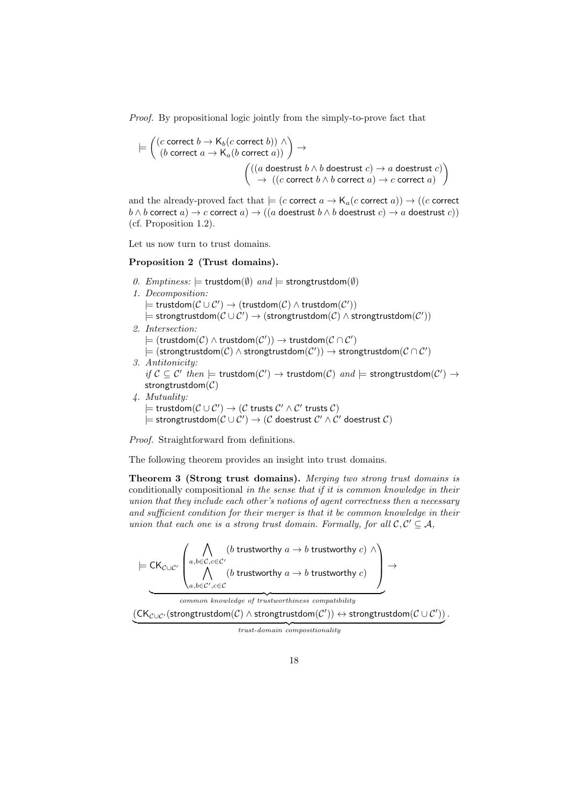Proof. By propositional logic jointly from the simply-to-prove fact that

$$
\models \left( \begin{array}{c} (c \text{ correct } b \to \mathsf{K}_b(c \text{ correct } b)) \land \\ (b \text{ correct } a \to \mathsf{K}_a(b \text{ correct } a)) \end{array} \right) \to \\ \left( \begin{array}{c} ((a \text{ desertust } b \land b \text{ desertust } c) \to a \text{ desertust } c) \\ \to & ((c \text{ correct } b \land b \text{ correct } a) \to c \text{ correct } a) \end{array} \right)
$$

and the already-proved fact that  $\models (c \text{ correct } a \rightarrow \mathsf{K}_a(c \text{ correct } a)) \rightarrow ((c \text{ correct } a \rightarrow \mathsf{K}_a(c \text{ correct } a)))$  $b \wedge b$  correct  $a) \rightarrow c$  correct  $a) \rightarrow ((a$  doestrust  $b \wedge b$  doestrust  $c) \rightarrow a$  doestrust  $c)$ ) (cf. Proposition 1.2).

Let us now turn to trust domains.

#### Proposition 2 (Trust domains).

- 0. Emptiness:  $\models$  trustdom(∅) and  $\models$  strongtrustdom(∅)
- 1. Decomposition:
	- $\models$  trustdom $(\mathcal{C}\cup\mathcal{C}')\rightarrow$  (trustdom $(\mathcal{C})\wedge$  trustdom $(\mathcal{C}'))$
	- $\models$  strongtrustdom $(\mathcal{C}\cup\mathcal{C}')\rightarrow$  (strongtrustdom $(\mathcal{C})\wedge$  strongtrustdom $(\mathcal{C}'))$
- 2. Intersection:
	- $\models$   $(\textsf{trustdom}(\mathcal{C}) \land \textsf{trustdom}(\mathcal{C}')) \rightarrow \textsf{trustdom}(\mathcal{C} \cap \mathcal{C}')$
	- $\models$   $(\textsf{strongtrustdom}(\mathcal{C}) \land \textsf{strongtrustdom}(\mathcal{C}')) \rightarrow \textsf{strongtrustdom}(\mathcal{C} \cap \mathcal{C}')$
- 3. Antitonicity:

*if*  $C \subseteq C'$  then  $\models$  trustdom( $C'$ )  $\rightarrow$  trustdom( $C$ ) and  $\models$  strongtrustdom( $C'$ )  $\rightarrow$ strongtrustdom $(C)$ 

- 4. Mutuality:
	- $\models$  trustdom $(\mathcal{C}\cup\mathcal{C}')\rightarrow(\mathcal{C}$  trusts  $\mathcal{C}'\wedge\mathcal{C}'$  trusts  $\mathcal{C})$

 $\models$  strongtrustdom $(\mathcal{C}\cup\mathcal{C}')\to(\mathcal{C}$  doestrust  $\mathcal{C}'\wedge\mathcal{C}'$  doestrust  $\mathcal{C})$ 

Proof. Straightforward from definitions.

The following theorem provides an insight into trust domains.

Theorem 3 (Strong trust domains). Merging two strong trust domains is conditionally compositional in the sense that if it is common knowledge in their union that they include each other's notions of agent correctness then a necessary and sufficient condition for their merger is that it be common knowledge in their union that each one is a strong trust domain. Formally, for all  $\mathcal{C}, \mathcal{C}' \subseteq \mathcal{A},$ 

$$
\models \mathsf{CK}_{\mathcal{C}\cup\mathcal{C}'}\left(\bigwedge_{a,b\in\mathcal{C},c\in\mathcal{C}}^{A} (b \text{ trustworthy } a \to b \text{ trustworthy } c) \land \atop (b \text{ trustworthy } a \to b \text{ trustworthy } c) \right) \to
$$

common knowledge of trustworthiness compatibility

 $(\mathsf{CK}_{\mathcal{C}\cup\mathcal{C}}/\mathsf{strongtrustdom}(\mathcal{C})\wedge \mathsf{strongtrustdom}(\mathcal{C}'))\leftrightarrow \mathsf{strongtrustdom}(\mathcal{C}\cup\mathcal{C}'))$  .

 ${trust-domain\ compositionality}$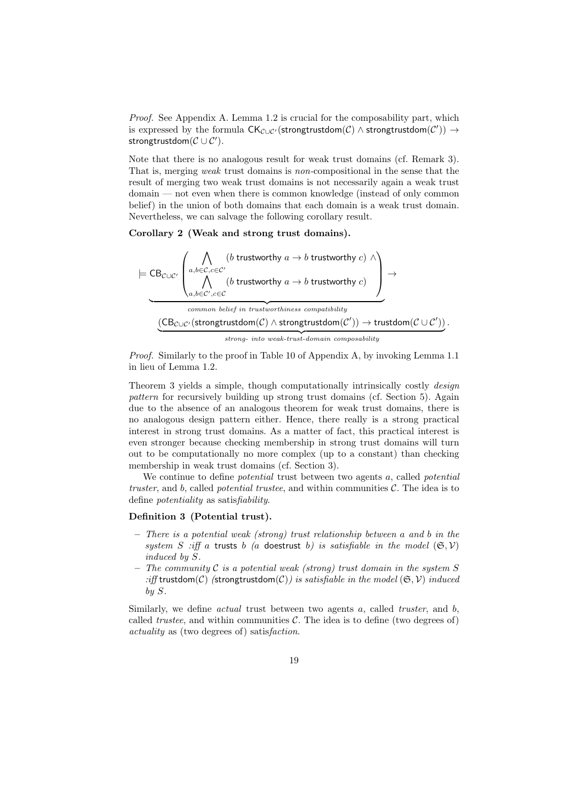Proof. See Appendix A. Lemma 1.2 is crucial for the composability part, which is expressed by the formula  $\mathsf{CK}_{\mathcal{C}\cup\mathcal{C}'}(\mathsf{strongtrustdom}(\mathcal{C}) \wedge \mathsf{strongtrustdom}(\mathcal{C}')) \rightarrow$ strongtrustdom $(\mathcal{C}\cup\mathcal{C}')$ .

Note that there is no analogous result for weak trust domains (cf. Remark 3). That is, merging weak trust domains is non-compositional in the sense that the result of merging two weak trust domains is not necessarily again a weak trust domain — not even when there is common knowledge (instead of only common belief) in the union of both domains that each domain is a weak trust domain. Nevertheless, we can salvage the following corollary result.

Corollary 2 (Weak and strong trust domains).

$$
\vdash \underline{\text{CB}_{\mathcal{C}\cup\mathcal{C}'}}\left(\bigwedge_{a,b\in\mathcal{C},c\in\mathcal{C}}^{(b\; \text{trustworthy}\; a\;\to\; b\; \text{trustworthy}\; c)}(b\; \text{trustworthy}\; a\;\to\; b\; \text{trustworthy}\; c)\right)\rightarrow \\ \underline{\hspace{1cm}}\underbrace{\left(\bigwedge_{a,b\in\mathcal{C}',c\in\mathcal{C}}^{(b\; \text{trustworthy}\; a\;\to\; b\; \text{trustworthy}\; c)}(b\; \text{trustworthy}\; c)\right)}_{common\; \text{belief}\; in\; trustworthiness\; compatibility} \\\underline{\hspace{1cm}}(\underline{\text{CB}_{\mathcal{C}\cup\mathcal{C}'}(\text{strongtrustdom}(\mathcal{C})\land \text{strongtrustdom}(\mathcal{C}'))}\;.\nonumber
$$

 ${strong}\label{thm:strom} \begin{minipage}[t]{0.9\linewidth} \centering \begin{minipage}[t]{0.9\linewidth} \end{minipage} \begin{minipage}[t]{0.9\linewidth} \centering \begin{minipage}[t]{0.9\linewidth} \end{minipage} \end{minipage} \begin{minipage}[t]{0.9\linewidth} \centering \begin{minipage}[t]{0.9\linewidth} \end{minipage} \end{minipage} \begin{minipage}[t]{0.9\linewidth} \centering \begin{minipage}[t]{0.9\linewidth} \centering \end{minipage} \end{minipage} \begin{minipage}[t]{0.9\linewidth} \centering \begin{minipage}[t$ 

Proof. Similarly to the proof in Table 10 of Appendix A, by invoking Lemma 1.1 in lieu of Lemma 1.2.

Theorem 3 yields a simple, though computationally intrinsically costly design pattern for recursively building up strong trust domains (cf. Section 5). Again due to the absence of an analogous theorem for weak trust domains, there is no analogous design pattern either. Hence, there really is a strong practical interest in strong trust domains. As a matter of fact, this practical interest is even stronger because checking membership in strong trust domains will turn out to be computationally no more complex (up to a constant) than checking membership in weak trust domains (cf. Section 3).

We continue to define *potential* trust between two agents a, called *potential* truster, and b, called *potential trustee*, and within communities  $\mathcal{C}$ . The idea is to define potentiality as satisfiability.

#### Definition 3 (Potential trust).

- There is a potential weak (strong) trust relationship between a and b in the system S :iff a trusts b (a doestrust b) is satisfiable in the model  $(\mathfrak{S}, \mathcal{V})$ induced by S.
- The community  $\mathcal C$  is a potential weak (strong) trust domain in the system  $S$ :iff trustdom(C) (strongtrustdom(C)) is satisfiable in the model  $(\mathfrak{S}, \mathcal{V})$  induced by S.

Similarly, we define *actual* trust between two agents  $a$ , called *truster*, and  $b$ , called *trustee*, and within communities  $\mathcal{C}$ . The idea is to define (two degrees of) actuality as (two degrees of) satisfaction.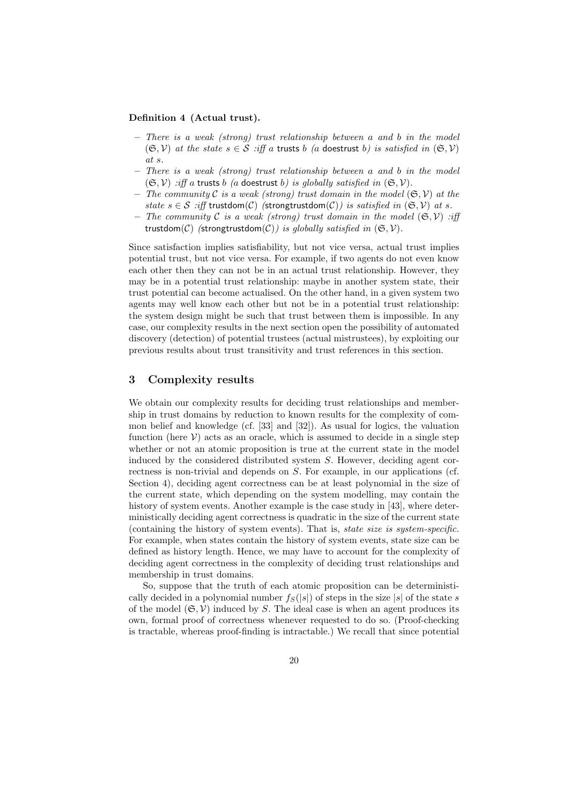#### Definition 4 (Actual trust).

- $-$  There is a weak (strong) trust relationship between a and b in the model  $(\mathfrak{S}, \mathcal{V})$  at the state  $s \in \mathcal{S}$  :iff a trusts b (a doestrust b) is satisfied in  $(\mathfrak{S}, \mathcal{V})$ at s.
- There is a weak (strong) trust relationship between a and b in the model  $(\mathfrak{S}, \mathcal{V})$  :iff a trusts b (a doestrust b) is globally satisfied in  $(\mathfrak{S}, \mathcal{V})$ .
- The community C is a weak (strong) trust domain in the model  $(\mathfrak{S}, \mathcal{V})$  at the state  $s \in S$  :iff trustdom(C) (strongtrustdom(C)) is satisfied in  $(\mathfrak{S}, V)$  at s.
- The community C is a weak (strong) trust domain in the model  $(\mathfrak{S}, \mathcal{V})$  :iff trustdom(C) (strongtrustdom(C)) is globally satisfied in  $(\mathfrak{S}, \mathcal{V})$ .

Since satisfaction implies satisfiability, but not vice versa, actual trust implies potential trust, but not vice versa. For example, if two agents do not even know each other then they can not be in an actual trust relationship. However, they may be in a potential trust relationship: maybe in another system state, their trust potential can become actualised. On the other hand, in a given system two agents may well know each other but not be in a potential trust relationship: the system design might be such that trust between them is impossible. In any case, our complexity results in the next section open the possibility of automated discovery (detection) of potential trustees (actual mistrustees), by exploiting our previous results about trust transitivity and trust references in this section.

## 3 Complexity results

We obtain our complexity results for deciding trust relationships and membership in trust domains by reduction to known results for the complexity of common belief and knowledge (cf. [33] and [32]). As usual for logics, the valuation function (here  $V$ ) acts as an oracle, which is assumed to decide in a single step whether or not an atomic proposition is true at the current state in the model induced by the considered distributed system  $S$ . However, deciding agent correctness is non-trivial and depends on S. For example, in our applications (cf. Section 4), deciding agent correctness can be at least polynomial in the size of the current state, which depending on the system modelling, may contain the history of system events. Another example is the case study in [43], where deterministically deciding agent correctness is quadratic in the size of the current state (containing the history of system events). That is, state size is system-specific. For example, when states contain the history of system events, state size can be defined as history length. Hence, we may have to account for the complexity of deciding agent correctness in the complexity of deciding trust relationships and membership in trust domains.

So, suppose that the truth of each atomic proposition can be deterministically decided in a polynomial number  $f_S(|s|)$  of steps in the size  $|s|$  of the state s of the model  $(\mathfrak{S}, \mathcal{V})$  induced by S. The ideal case is when an agent produces its own, formal proof of correctness whenever requested to do so. (Proof-checking is tractable, whereas proof-finding is intractable.) We recall that since potential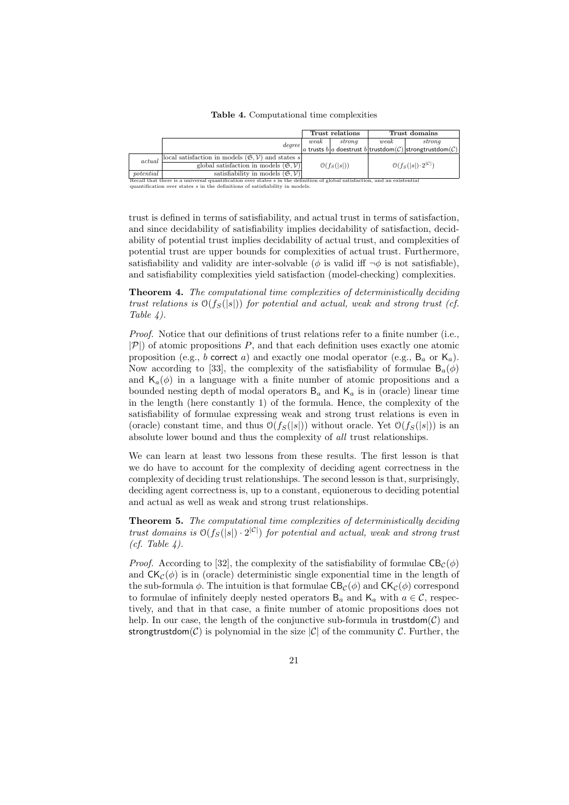Table 4. Computational time complexities

|                                                                                                                            |                                                                         | Trust relations |        |                                                 | Trust domains                                                         |  |
|----------------------------------------------------------------------------------------------------------------------------|-------------------------------------------------------------------------|-----------------|--------|-------------------------------------------------|-----------------------------------------------------------------------|--|
|                                                                                                                            |                                                                         | weak            | strong | weak                                            | strong                                                                |  |
|                                                                                                                            |                                                                         |                 |        |                                                 | $degree _a$ trusts $b _a$ doestrust $b$ trustdom(C) strongtrustdom(C) |  |
| actual                                                                                                                     | local satisfaction in models $(\mathfrak{S}, \mathcal{V})$ and states s | $O(f_S( s ))$   |        |                                                 |                                                                       |  |
|                                                                                                                            | global satisfaction in models $(\mathfrak{S}, \mathcal{V})$             |                 |        | $\mathcal{O}(f_S( s ) \cdot 2^{ \mathcal{C} })$ |                                                                       |  |
| potential                                                                                                                  | satisfiability in models $(\mathfrak{S}, \mathcal{V})$                  |                 |        |                                                 |                                                                       |  |
| Recall that there is a universal quantification over states s in the definition of global satisfaction, and an existential |                                                                         |                 |        |                                                 |                                                                       |  |
| quantification over states $s$ in the definitions of satisfiability in models.                                             |                                                                         |                 |        |                                                 |                                                                       |  |

trust is defined in terms of satisfiability, and actual trust in terms of satisfaction, and since decidability of satisfiability implies decidability of satisfaction, decidability of potential trust implies decidability of actual trust, and complexities of potential trust are upper bounds for complexities of actual trust. Furthermore, satisfiability and validity are inter-solvable ( $\phi$  is valid iff  $\neg \phi$  is not satisfiable), and satisfiability complexities yield satisfaction (model-checking) complexities.

Theorem 4. The computational time complexities of deterministically deciding trust relations is  $O(f_S(|s|))$  for potential and actual, weak and strong trust (cf. Table 4).

Proof. Notice that our definitions of trust relations refer to a finite number (i.e.,  $|\mathcal{P}|$  of atomic propositions P, and that each definition uses exactly one atomic proposition (e.g., b correct a) and exactly one modal operator (e.g.,  $B_a$  or  $K_a$ ). Now according to [33], the complexity of the satisfiability of formulae  $B_a(\phi)$ and  $\mathsf{K}_a(\phi)$  in a language with a finite number of atomic propositions and a bounded nesting depth of modal operators  $B_a$  and  $K_a$  is in (oracle) linear time in the length (here constantly 1) of the formula. Hence, the complexity of the satisfiability of formulae expressing weak and strong trust relations is even in (oracle) constant time, and thus  $\mathcal{O}(f_S(|s|))$  without oracle. Yet  $\mathcal{O}(f_S(|s|))$  is an absolute lower bound and thus the complexity of all trust relationships.

We can learn at least two lessons from these results. The first lesson is that we do have to account for the complexity of deciding agent correctness in the complexity of deciding trust relationships. The second lesson is that, surprisingly, deciding agent correctness is, up to a constant, equionerous to deciding potential and actual as well as weak and strong trust relationships.

Theorem 5. The computational time complexities of deterministically deciding trust domains is  $\mathcal{O}(f_S(|s|) \cdot 2^{|\mathcal{C}|})$  for potential and actual, weak and strong trust  $(cf. Table 4).$ 

*Proof.* According to [32], the complexity of the satisfiability of formulae  $CB<sub>C</sub>(\phi)$ and  $CK_{\mathcal{C}}(\phi)$  is in (oracle) deterministic single exponential time in the length of the sub-formula  $\phi$ . The intuition is that formulae  $CB_{\mathcal{C}}(\phi)$  and  $CK_{\mathcal{C}}(\phi)$  correspond to formulae of infinitely deeply nested operators  $B_a$  and  $K_a$  with  $a \in \mathcal{C}$ , respectively, and that in that case, a finite number of atomic propositions does not help. In our case, the length of the conjunctive sub-formula in trustdom $(C)$  and strongtrustdom( $\mathcal{C}$ ) is polynomial in the size  $|\mathcal{C}|$  of the community  $\mathcal{C}$ . Further, the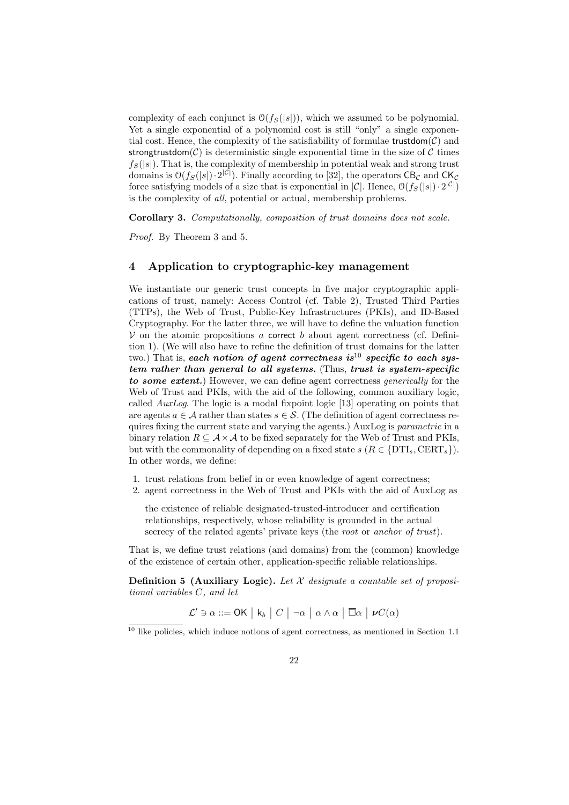complexity of each conjunct is  $\mathcal{O}(f_S(|s|))$ , which we assumed to be polynomial. Yet a single exponential of a polynomial cost is still "only" a single exponential cost. Hence, the complexity of the satisfiability of formulae trustdom $(C)$  and strongtrustdom( $\mathcal{C}$ ) is deterministic single exponential time in the size of  $\mathcal{C}$  times  $f_S(|s|)$ . That is, the complexity of membership in potential weak and strong trust domains is  $\mathcal{O}(f_S(|s|) \cdot 2^{|\mathcal{C}|})$ . Finally according to [32], the operators  $\mathsf{CB}_\mathcal{C}$  and  $\mathsf{CK}_\mathcal{C}$ force satisfying models of a size that is exponential in  $|\mathcal{C}|$ . Hence,  $\mathcal{O}(f_S(|s|) \cdot 2^{|\mathcal{C}|})$ is the complexity of all, potential or actual, membership problems.

Corollary 3. Computationally, composition of trust domains does not scale.

Proof. By Theorem 3 and 5.

## 4 Application to cryptographic-key management

We instantiate our generic trust concepts in five major cryptographic applications of trust, namely: Access Control (cf. Table 2), Trusted Third Parties (TTPs), the Web of Trust, Public-Key Infrastructures (PKIs), and ID-Based Cryptography. For the latter three, we will have to define the valuation function  $V$  on the atomic propositions a correct b about agent correctness (cf. Definition 1). (We will also have to refine the definition of trust domains for the latter two.) That is, each notion of agent correctness is  $10^{\circ}$  specific to each system rather than general to all systems. (Thus, trust is system-specific to some extent.) However, we can define agent correctness *generically* for the Web of Trust and PKIs, with the aid of the following, common auxiliary logic, called AuxLog. The logic is a modal fixpoint logic [13] operating on points that are agents  $a \in \mathcal{A}$  rather than states  $s \in \mathcal{S}$ . (The definition of agent correctness requires fixing the current state and varying the agents.) AuxLog is *parametric* in a binary relation  $R \subseteq A \times A$  to be fixed separately for the Web of Trust and PKIs, but with the commonality of depending on a fixed state  $s$  ( $R \in \{DTI<sub>s</sub>, CERT<sub>s</sub>\}$ ). In other words, we define:

- 1. trust relations from belief in or even knowledge of agent correctness;
- 2. agent correctness in the Web of Trust and PKIs with the aid of AuxLog as

the existence of reliable designated-trusted-introducer and certification relationships, respectively, whose reliability is grounded in the actual secrecy of the related agents' private keys (the *root* or *anchor of trust*).

That is, we define trust relations (and domains) from the (common) knowledge of the existence of certain other, application-specific reliable relationships.

**Definition 5 (Auxiliary Logic).** Let  $X$  designate a countable set of propositional variables C, and let

 $\mathcal{L}' \ni \alpha ::= \mathsf{OK} \mid \mathsf{k}_b \mid C \mid \neg \alpha \mid \alpha \wedge \alpha \mid \overline{\Box} \alpha \mid \nu C(\alpha)$ 

 $^{\rm 10}$  like policies, which induce notions of agent correctness, as mentioned in Section 1.1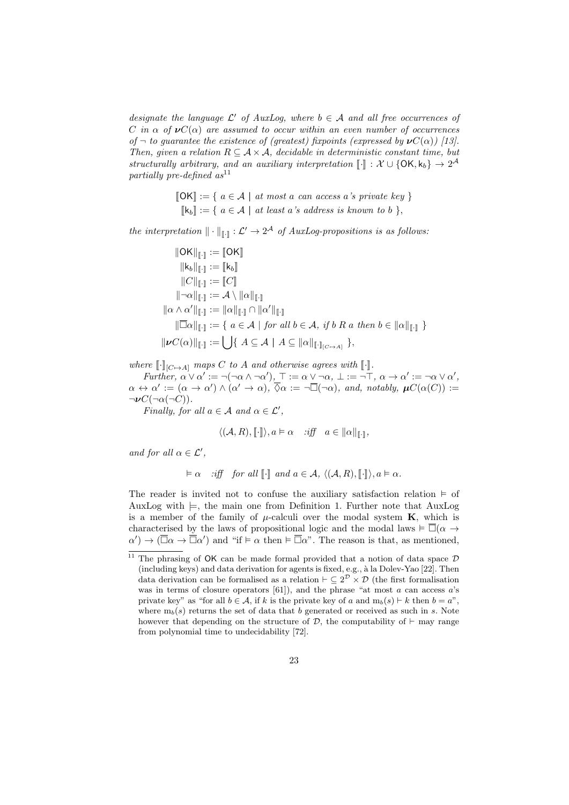designate the language  $\mathcal{L}'$  of AuxLog, where  $b \in \mathcal{A}$  and all free occurrences of C in  $\alpha$  of  $\nu C(\alpha)$  are assumed to occur within an even number of occurrences of  $\neg$  to guarantee the existence of (greatest) fixpoints (expressed by  $\nu C(\alpha)$ ) [13]. Then, given a relation  $R \subseteq A \times A$ , decidable in deterministic constant time, but structurally arbitrary, and an auxiliary interpretation  $[\![\cdot]\!] : \mathcal{X} \cup \{ \mathsf{OK}, \mathsf{k}_b \} \to 2^{\mathcal{A}}$ partially pre-defined  $as^{11}$ 

$$
\llbracket \mathsf{OK} \rrbracket := \{ a \in \mathcal{A} \mid at most a can access a's private key \}
$$

$$
\llbracket \mathsf{k}_b \rrbracket := \{ a \in \mathcal{A} \mid at least a's address is known to b \},
$$

the interpretation  $\|\cdot\|_{\llbracket\cdot\rrbracket} : \mathcal{L}' \to 2^{\mathcal{A}}$  of AuxLog-propositions is as follows:

$$
\|OK\|_{\mathbb{L}^1} := \|OK\|
$$
  
\n
$$
\|k_b\|_{\mathbb{L}^1} := [k_b]
$$
  
\n
$$
\|C\|_{\mathbb{L}^1} := [C]
$$
  
\n
$$
\|\neg \alpha\|_{\mathbb{L}^1} := \mathcal{A} \setminus \|\alpha\|_{\mathbb{L}^1}
$$
  
\n
$$
\|\alpha \wedge \alpha'\|_{\mathbb{L}^1} := \|\alpha\|_{\mathbb{L}^1} \cap \|\alpha'\|_{\mathbb{L}^1}
$$
  
\n
$$
\|\overline{\Box}\alpha\|_{\mathbb{L}^1} := \{ a \in \mathcal{A} \mid \text{for all } b \in \mathcal{A}, \text{ if } b \in \mathcal{A} \text{ then } b \in \|\alpha\|_{\mathbb{L}^1} \}
$$
  
\n
$$
\|\nu C(\alpha)\|_{\mathbb{L}^1} := \bigcup \{ A \subseteq \mathcal{A} \mid A \subseteq \|\alpha\|_{\mathbb{L}^1(\mathbb{C} \mapsto A)}} \},
$$

where  $\llbracket \cdot \rrbracket_{[C \mapsto A]}$  maps C to A and otherwise agrees with  $\llbracket \cdot \rrbracket$ .

Further,  $\alpha \vee \alpha' := \neg(\neg \alpha \wedge \neg \alpha'), \top := \alpha \vee \neg \alpha, \bot := \neg \top, \alpha \rightarrow \alpha' := \neg \alpha \vee \alpha',$  $\alpha \leftrightarrow \alpha' := (\alpha \to \alpha') \land (\alpha' \to \alpha), \overline{\Diamond} \alpha := \neg \overline{\Box}(\neg \alpha)$ , and, notably,  $\mu C(\alpha(C)) :=$  $\neg\nu C(\neg\alpha(\neg C)).$ 

Finally, for all  $a \in \mathcal{A}$  and  $\alpha \in \mathcal{L}'$ ,

$$
\langle (\mathcal{A}, R), [\![\cdot]\!] \rangle, a \vDash \alpha \quad \text{ iff } \quad a \in ||\alpha||_{[\![\cdot]\!]},
$$

and for all  $\alpha \in \mathcal{L}'$ ,

$$
\vDash \alpha \quad \text{ iff } \text{ for all } [\![\cdot]\!] \text{ and } a \in \mathcal{A}, \ \langle (\mathcal{A}, R), [\![\cdot]\!] \rangle, a \vDash \alpha.
$$

The reader is invited not to confuse the auxiliary satisfaction relation  $\models$  of AuxLog with  $\models$ , the main one from Definition 1. Further note that AuxLog is a member of the family of  $\mu$ -calculi over the modal system **K**, which is characterised by the laws of propositional logic and the modal laws  $\models \overline{\Box}(\alpha \rightarrow$  $\alpha'$   $\rightarrow$   $(\overline{\Box}\alpha \rightarrow \overline{\Box}\alpha')$  and "if  $\vdash \alpha$  then  $\dashv \overline{\Box}\alpha$ ". The reason is that, as mentioned,

<sup>&</sup>lt;sup>11</sup> The phrasing of OK can be made formal provided that a notion of data space  $\mathcal D$ (including keys) and data derivation for agents is fixed, e.g., à la Dolev-Yao [22]. Then data derivation can be formalised as a relation  $\vdash \subseteq 2^{\mathcal{D}} \times \mathcal{D}$  (the first formalisation was in terms of closure operators  $[61]$ ), and the phrase "at most  $a$  can access  $a$ 's private key" as "for all  $b \in \mathcal{A}$ , if k is the private key of a and  $m_b(s) \vdash k$  then  $b = a$ ", where  $m_b(s)$  returns the set of data that b generated or received as such in s. Note however that depending on the structure of  $D$ , the computability of  $\vdash$  may range from polynomial time to undecidability [72].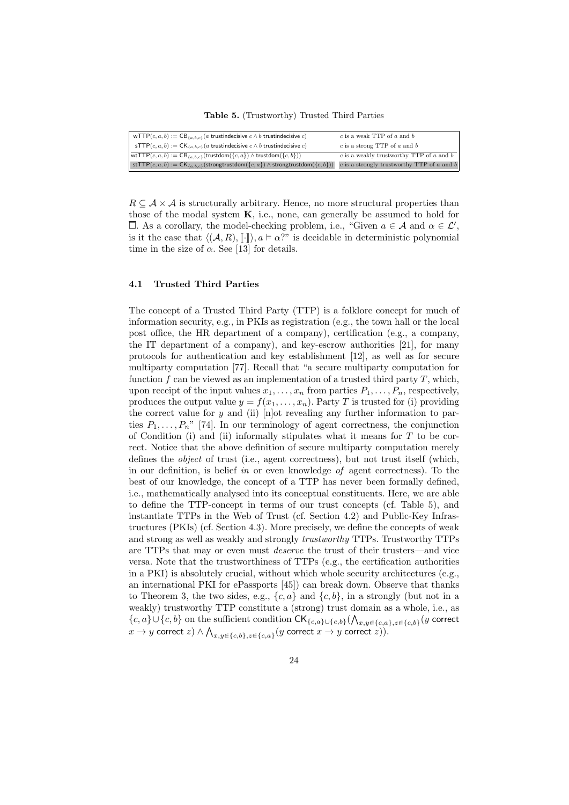Table 5. (Trustworthy) Trusted Third Parties

| wTTP $(c, a, b) := CB_{\{a, b, c\}}(a$ trustindecisive $c \wedge b$ trustindecisive $c)$                                              | $c$ is a weak TTP of $a$ and $b$           |
|---------------------------------------------------------------------------------------------------------------------------------------|--------------------------------------------|
| $\mathsf{sTTP}(c, a, b) := \mathsf{CK}_{\{a, b, c\}}(a \text{ trust indecisive } c \wedge b \text{ trustindecisive } c)$              | $c$ is a strong TTP of $a$ and $b$         |
| $\vert \text{wtTTP}(c, a, b) \vert := \text{CB}_{\{a, b, c\}}(\text{trustdom}(\{c, a\}) \wedge \text{trustdom}(\{c, b\}))$            | c is a weakly trustworthy TTP of a and $b$ |
| stTTP(c, a, b) := $CK_{\{a,b,c\}}$ (strongtrustdom({c, a}) $\land$ strongtrustdom({c, b})) c is a strongly trustworthy TTP of a and b |                                            |

 $R \subseteq A \times A$  is structurally arbitrary. Hence, no more structural properties than those of the modal system  $K$ , i.e., none, can generally be assumed to hold for  $\overline{\Box}$ . As a corollary, the model-checking problem, i.e., "Given  $a \in \mathcal{A}$  and  $\alpha \in \mathcal{L}'$ , is it the case that  $\langle (A, R), \lceil \cdot \rceil \rangle, a \models \alpha$ ?" is decidable in deterministic polynomial time in the size of  $\alpha$ . See [13] for details.

#### 4.1 Trusted Third Parties

The concept of a Trusted Third Party (TTP) is a folklore concept for much of information security, e.g., in PKIs as registration (e.g., the town hall or the local post office, the HR department of a company), certification (e.g., a company, the IT department of a company), and key-escrow authorities [21], for many protocols for authentication and key establishment [12], as well as for secure multiparty computation [77]. Recall that "a secure multiparty computation for function  $f$  can be viewed as an implementation of a trusted third party  $T$ , which, upon receipt of the input values  $x_1, \ldots, x_n$  from parties  $P_1, \ldots, P_n$ , respectively, produces the output value  $y = f(x_1, \ldots, x_n)$ . Party T is trusted for (i) providing the correct value for y and (ii)  $[n]$  ot revealing any further information to parties  $P_1, \ldots, P_n$ " [74]. In our terminology of agent correctness, the conjunction of Condition (i) and (ii) informally stipulates what it means for  $T$  to be correct. Notice that the above definition of secure multiparty computation merely defines the object of trust (i.e., agent correctness), but not trust itself (which, in our definition, is belief in or even knowledge of agent correctness). To the best of our knowledge, the concept of a TTP has never been formally defined, i.e., mathematically analysed into its conceptual constituents. Here, we are able to define the TTP-concept in terms of our trust concepts (cf. Table 5), and instantiate TTPs in the Web of Trust (cf. Section 4.2) and Public-Key Infrastructures (PKIs) (cf. Section 4.3). More precisely, we define the concepts of weak and strong as well as weakly and strongly trustworthy TTPs. Trustworthy TTPs are TTPs that may or even must deserve the trust of their trusters—and vice versa. Note that the trustworthiness of TTPs (e.g., the certification authorities in a PKI) is absolutely crucial, without which whole security architectures (e.g., an international PKI for ePassports [45]) can break down. Observe that thanks to Theorem 3, the two sides, e.g.,  $\{c, a\}$  and  $\{c, b\}$ , in a strongly (but not in a weakly) trustworthy TTP constitute a (strong) trust domain as a whole, i.e., as  ${c, a} \cup {c, b}$  on the sufficient condition  $CK_{\{c,a\}\cup{\{c,b\}}}(\bigwedge_{x,y\in{\{c,a\}},z\in{\{c,b\}}}(y)$  correct  $x \to y$  correct  $z) \wedge \bigwedge_{x,y \in \{c,b\}, z \in \{c,a\}} (y$  correct  $x \to y$  correct  $z)).$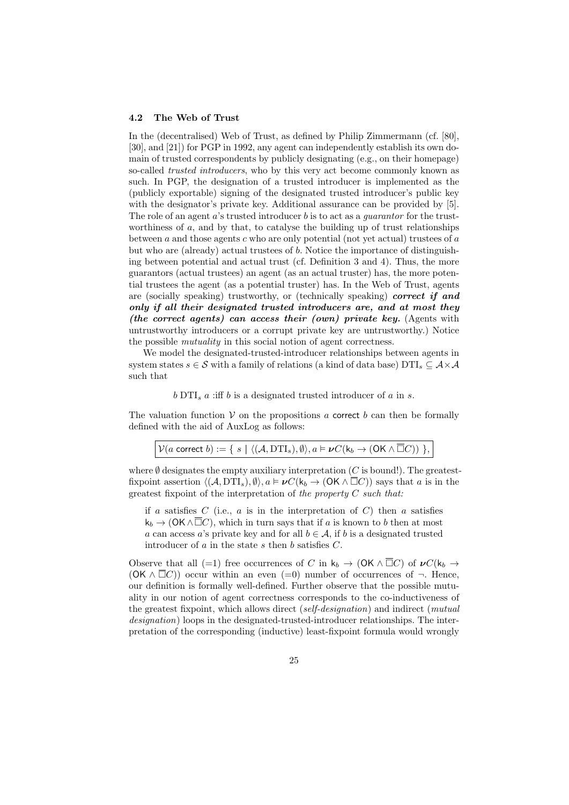#### 4.2 The Web of Trust

In the (decentralised) Web of Trust, as defined by Philip Zimmermann (cf. [80], [30], and [21]) for PGP in 1992, any agent can independently establish its own domain of trusted correspondents by publicly designating (e.g., on their homepage) so-called *trusted introducers*, who by this very act become commonly known as such. In PGP, the designation of a trusted introducer is implemented as the (publicly exportable) signing of the designated trusted introducer's public key with the designator's private key. Additional assurance can be provided by [5]. The role of an agent  $a$ 's trusted introducer  $b$  is to act as a *quarantor* for the trustworthiness of  $a$ , and by that, to catalyse the building up of trust relationships between  $a$  and those agents  $c$  who are only potential (not yet actual) trustees of  $a$ but who are (already) actual trustees of b. Notice the importance of distinguishing between potential and actual trust (cf. Definition 3 and 4). Thus, the more guarantors (actual trustees) an agent (as an actual truster) has, the more potential trustees the agent (as a potential truster) has. In the Web of Trust, agents are (socially speaking) trustworthy, or (technically speaking) correct if and only if all their designated trusted introducers are, and at most they (the correct agents) can access their (own) private key. (Agents with untrustworthy introducers or a corrupt private key are untrustworthy.) Notice the possible mutuality in this social notion of agent correctness.

We model the designated-trusted-introducer relationships between agents in system states  $s \in \mathcal{S}$  with a family of relations (a kind of data base)  $DTI_s \subseteq \mathcal{A} \times \mathcal{A}$ such that

#### $b$  DTI<sub>s</sub>  $a$  :iff  $b$  is a designated trusted introducer of  $a$  in  $s$ .

The valuation function  $V$  on the propositions a correct b can then be formally defined with the aid of AuxLog as follows:

| $\mathcal{V}(a \text{ correct } b) := \{ s \mid \langle (A, \text{DTI}_s), \emptyset \rangle, a \models \nu C(\mathsf{k}_b \to (\text{OK } \wedge \overline{\Box} C)) \}$ |  |  |  |  |
|---------------------------------------------------------------------------------------------------------------------------------------------------------------------------|--|--|--|--|
|---------------------------------------------------------------------------------------------------------------------------------------------------------------------------|--|--|--|--|

where  $\emptyset$  designates the empty auxiliary interpretation (C is bound!). The greatestfixpoint assertion  $\langle (A, DTI<sub>s</sub>), \emptyset \rangle$ ,  $a \models \nu C(k_b \rightarrow (OK \land \Box C))$  says that a is in the greatest fixpoint of the interpretation of the property  $C$  such that:

if a satisfies C (i.e., a is in the interpretation of C) then a satisfies  $k_b \to (OK \wedge \Box C)$ , which in turn says that if a is known to b then at most a can access a's private key and for all  $b \in \mathcal{A}$ , if b is a designated trusted introducer of  $a$  in the state  $s$  then  $b$  satisfies  $C$ .

Observe that all (=1) free occurrences of C in  $k_b \to (OK \wedge \overline{\Box} C)$  of  $\nu C(k_b \to \overline{C})$  $(OK \wedge \overline{\Box} C)$  occur within an even  $(=0)$  number of occurrences of  $\neg$ . Hence, our definition is formally well-defined. Further observe that the possible mutuality in our notion of agent correctness corresponds to the co-inductiveness of the greatest fixpoint, which allows direct (self-designation) and indirect (mutual designation) loops in the designated-trusted-introducer relationships. The interpretation of the corresponding (inductive) least-fixpoint formula would wrongly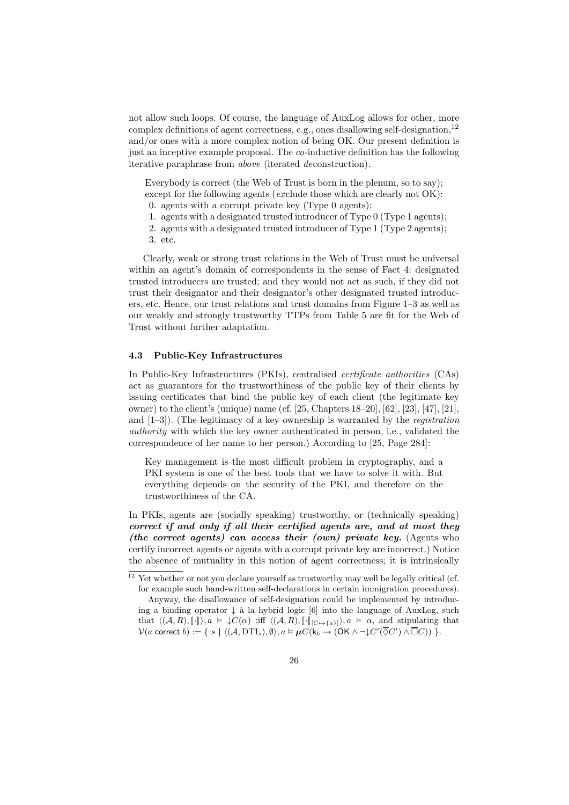not allow such loops. Of course, the language of AuxLog allows for other, more complex definitions of agent correctness, e.g., ones disallowing self-designation,<sup>12</sup> and/or ones with a more complex notion of being OK. Our present definition is just an inceptive example proposal. The co-inductive definition has the following iterative paraphrase from above (iterated deconstruction).

Everybody is correct (the Web of Trust is born in the plenum, so to say); except for the following agents (exclude those which are clearly not OK):

- 0. agents with a corrupt private key (Type 0 agents);
- 1. agents with a designated trusted introducer of Type 0 (Type 1 agents);
- 2. agents with a designated trusted introducer of Type 1 (Type 2 agents);
- 3. etc.

Clearly, weak or strong trust relations in the Web of Trust must be universal within an agent's domain of correspondents in the sense of Fact 4: designated trusted introducers are trusted; and they would not act as such, if they did not trust their designator and their designator's other designated trusted introducers, etc. Hence, our trust relations and trust domains from Figure 1–3 as well as our weakly and strongly trustworthy TTPs from Table 5 are fit for the Web of Trust without further adaptation.

### 4.3 Public-Key Infrastructures

In Public-Key Infrastructures (PKIs), centralised certificate authorities (CAs) act as guarantors for the trustworthiness of the public key of their clients by issuing certificates that bind the public key of each client (the legitimate key owner) to the client's (unique) name (cf. [25, Chapters 18–20], [62], [23], [47], [21], and  $[1-3]$ ). (The legitimacy of a key ownership is warranted by the *registration* authority with which the key owner authenticated in person, i.e., validated the correspondence of her name to her person.) According to [25, Page 284]:

Key management is the most difficult problem in cryptography, and a PKI system is one of the best tools that we have to solve it with. But everything depends on the security of the PKI, and therefore on the trustworthiness of the CA.

In PKIs, agents are (socially speaking) trustworthy, or (technically speaking) correct if and only if all their certified agents are, and at most they (the correct agents) can access their (own) private key. (Agents who certify incorrect agents or agents with a corrupt private key are incorrect.) Notice the absence of mutuality in this notion of agent correctness; it is intrinsically

<sup>&</sup>lt;sup>12</sup> Yet whether or not you declare yourself as trustworthy may well be legally critical (cf. for example such hand-written self-declarations in certain immigration procedures). Anyway, the disallowance of self-designation could be implemented by introducing a binding operator  $\downarrow$  à la hybrid logic [6] into the language of AuxLog, such

that  $\langle (A, R), [\![\cdot]\!] \rangle, a \models \downarrow C(\alpha)$  :iff  $\langle (A, R), [\![\cdot]\!]_{[C \mapsto \{a\}]}$ ,  $a \models \alpha$ , and stipulating that  $\mathcal{V}(a \text{ correct } b) := \{ s \mid \langle (A, \text{DTI}_s), \emptyset \rangle, a \models \boldsymbol{\mu} C(\mathsf{k}_b \to (\mathsf{OK} \land \neg \downarrow C'(\overline{\lozenge} C') \land \overline{\Box} C)) \}$ .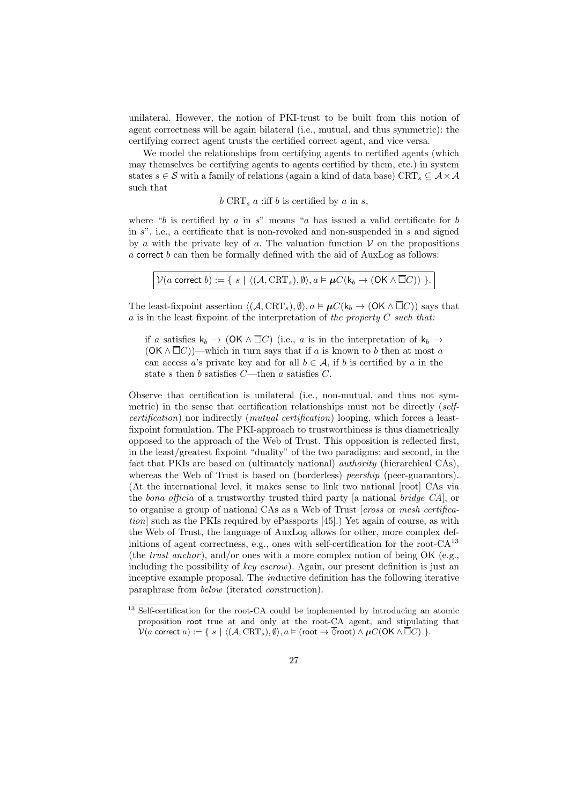unilateral. However, the notion of PKI-trust to be built from this notion of agent correctness will be again bilateral (i.e., mutual, and thus symmetric): the certifying correct agent trusts the certified correct agent, and vice versa.

We model the relationships from certifying agents to certified agents (which may themselves be certifying agents to agents certified by them, etc.) in system states s  $\in$  S with a family of relations (again a kind of data base) CRT<sub>s</sub>  $\subseteq$  A  $\times$  A such that

$$
b
$$
 CRT<sub>s</sub>  $a$  iff  $b$  is certified by  $a$  in  $s$ ,

where "b is certified by  $a$  in  $s$ " means "a has issued a valid certificate for b in  $s$ ", i.e., a certificate that is non-revoked and non-suspended in  $s$  and signed by a with the private key of a. The valuation function  $V$  on the propositions  $a$  correct  $b$  can then be formally defined with the aid of AuxLog as follows:

| $\mathcal{V}(a \text{ correct } b) := \{ s \mid \langle (A, \text{CRT}_s), \emptyset \rangle, a \models \boldsymbol{\mu} C(\mathsf{k}_b \to (\mathsf{OK} \land \overline{\Box} C)) \}$ . |  |  |  |  |  |
|------------------------------------------------------------------------------------------------------------------------------------------------------------------------------------------|--|--|--|--|--|
|------------------------------------------------------------------------------------------------------------------------------------------------------------------------------------------|--|--|--|--|--|

The least-fixpoint assertion  $\langle (A, \text{CRT}_s), \emptyset \rangle, a \models \mu C(k_b \rightarrow (\text{OK} \land \overline{\Box} C))$  says that  $a$  is in the least fixpoint of the interpretation of the property  $C$  such that:

if a satisfies  $k_b \to (OK \wedge \overline{\Box} C)$  (i.e., a is in the interpretation of  $k_b \to$  $(OK \wedge \overline{\square} C)$ —which in turn says that if a is known to b then at most a can access a's private key and for all  $b \in \mathcal{A}$ , if b is certified by a in the state s then b satisfies  $C$ —then a satisfies  $C$ .

Observe that certification is unilateral (i.e., non-mutual, and thus not symmetric) in the sense that certification relationships must not be directly (selfcertification) nor indirectly (mutual certification) looping, which forces a leastfixpoint formulation. The PKI-approach to trustworthiness is thus diametrically opposed to the approach of the Web of Trust. This opposition is reflected first, in the least/greatest fixpoint "duality" of the two paradigms; and second, in the fact that PKIs are based on (ultimately national) authority (hierarchical CAs), whereas the Web of Trust is based on (borderless) *peership* (peer-guarantors). (At the international level, it makes sense to link two national [root] CAs via the bona officia of a trustworthy trusted third party [a national bridge CA], or to organise a group of national CAs as a Web of Trust [cross or mesh certification] such as the PKIs required by ePassports [45].) Yet again of course, as with the Web of Trust, the language of AuxLog allows for other, more complex definitions of agent correctness, e.g., ones with self-certification for the root- $CA^{13}$ (the *trust anchor*), and/or ones with a more complex notion of being OK (e.g., including the possibility of key escrow). Again, our present definition is just an inceptive example proposal. The inductive definition has the following iterative paraphrase from below (iterated construction).

<sup>&</sup>lt;sup>13</sup> Self-certification for the root-CA could be implemented by introducing an atomic proposition root true at and only at the root-CA agent, and stipulating that  $\mathcal{V}(a \text{ correct } a) := \{ s \mid \langle (A, \text{CRT}_s), \emptyset \rangle, a \models (\text{root } \rightarrow \overline{\lozenge} \text{root}) \land \boldsymbol{\mu} C(\mathsf{OK} \land \overline{\Box} C) \}$ .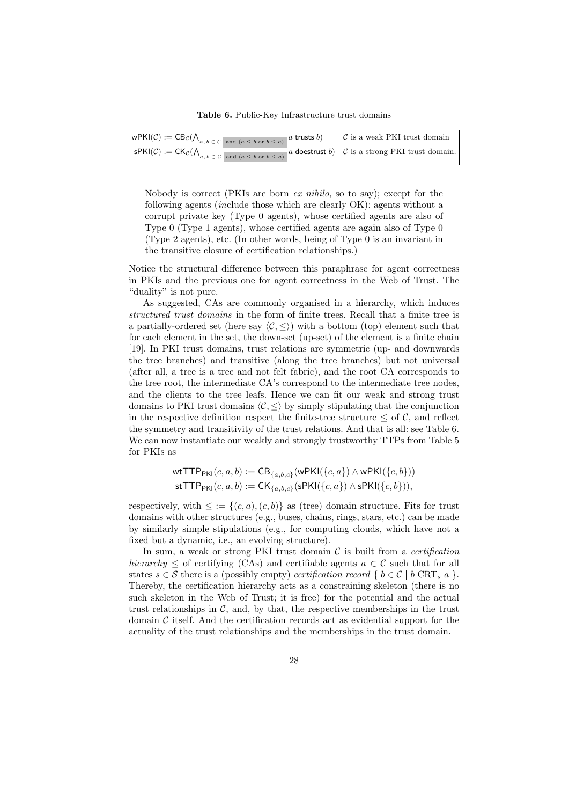Table 6. Public-Key Infrastructure trust domains

| $\big $ wPKI(C) := $\text{CB}_{\mathcal{C}}(\bigwedge_{a,b \in \mathcal{C}} \big _{\text{and } (a \leq b \text{ or } b \leq a)} a \text{ trusts } b)$                                                      | $\mathcal C$ is a weak PKI trust domain |
|------------------------------------------------------------------------------------------------------------------------------------------------------------------------------------------------------------|-----------------------------------------|
| $\Big \sup KI(\mathcal{C}) := \mathsf{CK}_{\mathcal{C}}(\bigwedge_{a,b \in \mathcal{C}} \underline{\otimes}_{\text{and } (a \leq b \text{ or } b \leq a)} a \text{ does.}$ C is a strong PKI trust domain. |                                         |

Nobody is correct (PKIs are born ex nihilo, so to say); except for the following agents (include those which are clearly OK): agents without a corrupt private key (Type 0 agents), whose certified agents are also of Type 0 (Type 1 agents), whose certified agents are again also of Type 0 (Type 2 agents), etc. (In other words, being of Type 0 is an invariant in the transitive closure of certification relationships.)

Notice the structural difference between this paraphrase for agent correctness in PKIs and the previous one for agent correctness in the Web of Trust. The "duality" is not pure.

As suggested, CAs are commonly organised in a hierarchy, which induces structured trust domains in the form of finite trees. Recall that a finite tree is a partially-ordered set (here say  $\langle \mathcal{C}, \leq \rangle$ ) with a bottom (top) element such that for each element in the set, the down-set (up-set) of the element is a finite chain [19]. In PKI trust domains, trust relations are symmetric (up- and downwards the tree branches) and transitive (along the tree branches) but not universal (after all, a tree is a tree and not felt fabric), and the root CA corresponds to the tree root, the intermediate CA's correspond to the intermediate tree nodes, and the clients to the tree leafs. Hence we can fit our weak and strong trust domains to PKI trust domains  $\langle \mathcal{C}, \leq \rangle$  by simply stipulating that the conjunction in the respective definition respect the finite-tree structure  $\leq$  of C, and reflect the symmetry and transitivity of the trust relations. And that is all: see Table 6. We can now instantiate our weakly and strongly trustworthy TTPs from Table 5 for PKIs as

wtTTPPKI(c, a, b) := CB{a,b,c}(wPKI({c, a}) ∧ wPKI({c, b})) stTTPPKI(c, a, b) := CK{a,b,c}(sPKI({c, a}) ∧ sPKI({c, b})),

respectively, with  $\leq := \{(c, a), (c, b)\}\$ as (tree) domain structure. Fits for trust domains with other structures (e.g., buses, chains, rings, stars, etc.) can be made by similarly simple stipulations (e.g., for computing clouds, which have not a fixed but a dynamic, i.e., an evolving structure).

In sum, a weak or strong PKI trust domain  $\mathcal C$  is built from a *certification* hierarchy  $\leq$  of certifying (CAs) and certifiable agents  $a \in \mathcal{C}$  such that for all states  $s \in \mathcal{S}$  there is a (possibly empty) *certification record* {  $b \in \mathcal{C}$  |  $b$  CRT<sub>s</sub>  $a$  }. Thereby, the certification hierarchy acts as a constraining skeleton (there is no such skeleton in the Web of Trust; it is free) for the potential and the actual trust relationships in  $\mathcal{C}$ , and, by that, the respective memberships in the trust domain  $\mathcal C$  itself. And the certification records act as evidential support for the actuality of the trust relationships and the memberships in the trust domain.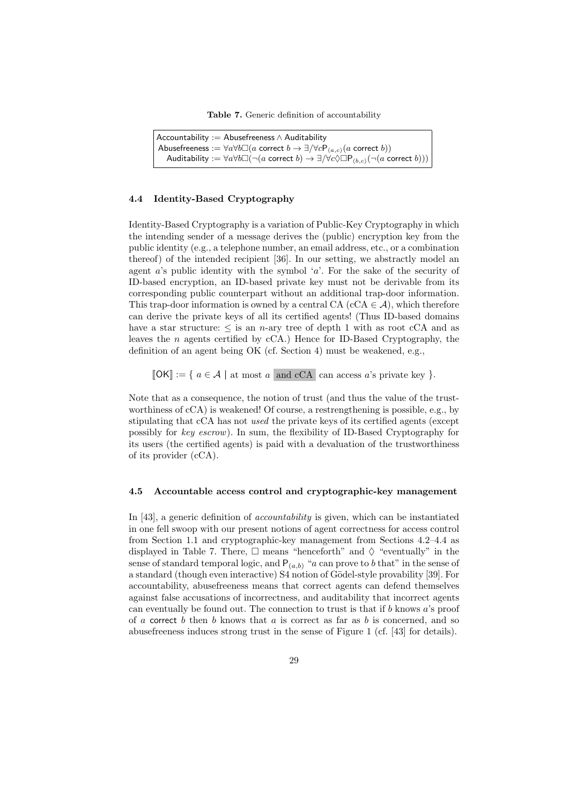Table 7. Generic definition of accountability

```
Accountability := Abusefreeness \wedge AuditabilityAbusefreeness := \forall a \forall b \Box (a \text{ correct } b \rightarrow \exists/\forall c \mathsf{P}_{(a,c)}(a \text{ correct } b))Auditability := \forall a \forall b \Box (\neg (a \text{ correct } b) \rightarrow \exists/\forall c \Diamond \Box P_{(b,c)}(\neg (a \text{ correct } b)))
```
#### 4.4 Identity-Based Cryptography

Identity-Based Cryptography is a variation of Public-Key Cryptography in which the intending sender of a message derives the (public) encryption key from the public identity (e.g., a telephone number, an email address, etc., or a combination thereof) of the intended recipient [36]. In our setting, we abstractly model an agent  $a$ 's public identity with the symbol  $a$ '. For the sake of the security of ID-based encryption, an ID-based private key must not be derivable from its corresponding public counterpart without an additional trap-door information. This trap-door information is owned by a central CA (cCA  $\in \mathcal{A}$ ), which therefore can derive the private keys of all its certified agents! (Thus ID-based domains have a star structure:  $\leq$  is an *n*-ary tree of depth 1 with as root cCA and as leaves the  $n$  agents certified by cCA.) Hence for ID-Based Cryptography, the definition of an agent being OK (cf. Section 4) must be weakened, e.g.,

 $\llbracket \mathsf{OK} \rrbracket := \{ a \in \mathcal{A} \mid \text{at most } a \text{ and } cCA \text{ can access } a \text{'s private key } \}.$ 

Note that as a consequence, the notion of trust (and thus the value of the trustworthiness of cCA) is weakened! Of course, a restrengthening is possible, e.g., by stipulating that cCA has not used the private keys of its certified agents (except possibly for key escrow). In sum, the flexibility of ID-Based Cryptography for its users (the certified agents) is paid with a devaluation of the trustworthiness of its provider (cCA).

#### 4.5 Accountable access control and cryptographic-key management

In [43], a generic definition of accountability is given, which can be instantiated in one fell swoop with our present notions of agent correctness for access control from Section 1.1 and cryptographic-key management from Sections 4.2–4.4 as displayed in Table 7. There,  $\Box$  means "henceforth" and  $\Diamond$  "eventually" in the sense of standard temporal logic, and  $P_{(a,b)}$  "a can prove to b that" in the sense of a standard (though even interactive) S4 notion of Gödel-style provability [39]. For accountability, abusefreeness means that correct agents can defend themselves against false accusations of incorrectness, and auditability that incorrect agents can eventually be found out. The connection to trust is that if b knows a's proof of a correct b then b knows that  $a$  is correct as far as b is concerned, and so abusefreeness induces strong trust in the sense of Figure 1 (cf. [43] for details).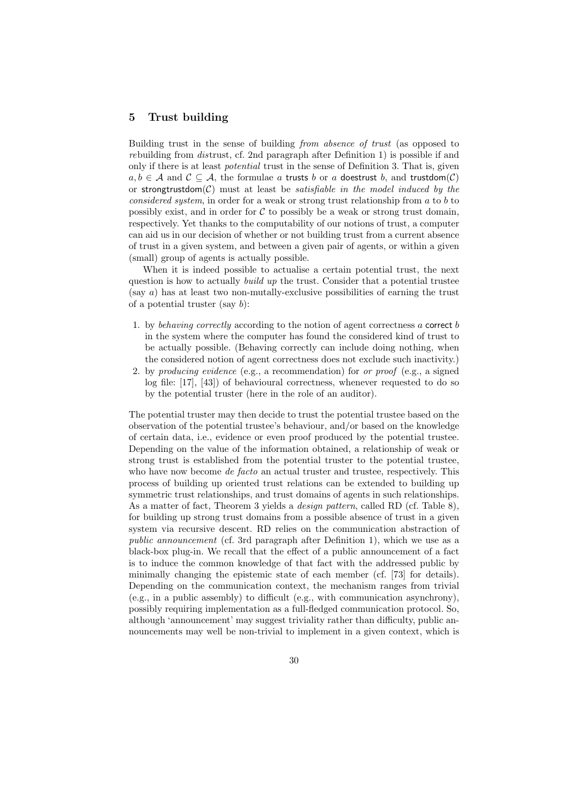## 5 Trust building

Building trust in the sense of building *from absence of trust* (as opposed to rebuilding from distrust, cf. 2nd paragraph after Definition 1) is possible if and only if there is at least *potential* trust in the sense of Definition 3. That is, given  $a, b \in A$  and  $C \subseteq A$ , the formulae a trusts b or a doestrust b, and trustdom(C) or strongtrustdom $(C)$  must at least be *satisfiable in the model induced by the* considered system, in order for a weak or strong trust relationship from a to b to possibly exist, and in order for  $\mathcal C$  to possibly be a weak or strong trust domain, respectively. Yet thanks to the computability of our notions of trust, a computer can aid us in our decision of whether or not building trust from a current absence of trust in a given system, and between a given pair of agents, or within a given (small) group of agents is actually possible.

When it is indeed possible to actualise a certain potential trust, the next question is how to actually *build up* the trust. Consider that a potential trustee (say a) has at least two non-mutally-exclusive possibilities of earning the trust of a potential truster (say  $b$ ):

- 1. by behaving correctly according to the notion of agent correctness  $a$  correct  $b$ in the system where the computer has found the considered kind of trust to be actually possible. (Behaving correctly can include doing nothing, when the considered notion of agent correctness does not exclude such inactivity.)
- 2. by producing evidence (e.g., a recommendation) for or proof (e.g., a signed log file: [17], [43]) of behavioural correctness, whenever requested to do so by the potential truster (here in the role of an auditor).

The potential truster may then decide to trust the potential trustee based on the observation of the potential trustee's behaviour, and/or based on the knowledge of certain data, i.e., evidence or even proof produced by the potential trustee. Depending on the value of the information obtained, a relationship of weak or strong trust is established from the potential truster to the potential trustee, who have now become *de facto* an actual truster and trustee, respectively. This process of building up oriented trust relations can be extended to building up symmetric trust relationships, and trust domains of agents in such relationships. As a matter of fact, Theorem 3 yields a *design pattern*, called RD (cf. Table 8), for building up strong trust domains from a possible absence of trust in a given system via recursive descent. RD relies on the communication abstraction of public announcement (cf. 3rd paragraph after Definition 1), which we use as a black-box plug-in. We recall that the effect of a public announcement of a fact is to induce the common knowledge of that fact with the addressed public by minimally changing the epistemic state of each member (cf. [73] for details). Depending on the communication context, the mechanism ranges from trivial (e.g., in a public assembly) to difficult (e.g., with communication asynchrony), possibly requiring implementation as a full-fledged communication protocol. So, although 'announcement' may suggest triviality rather than difficulty, public announcements may well be non-trivial to implement in a given context, which is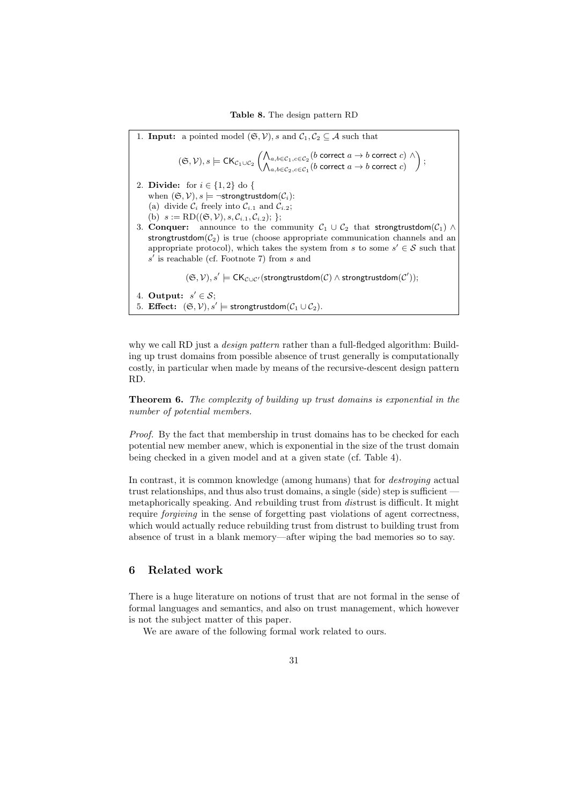1. **Input:** a pointed model  $(\mathfrak{S}, \mathcal{V})$ , s and  $\mathcal{C}_1, \mathcal{C}_2 \subseteq \mathcal{A}$  such that  $(\mathfrak{S}, \mathcal{V}), s \models \mathsf{CK}_{\mathcal{C}_1 \cup \mathcal{C}_2} \left( \bigwedge_{a,b \in \mathcal{C}_1, c \in \mathcal{C}_2}^{n} (b \text{ correct } a \rightarrow b \text{ correct } c) \land b \text{ correct } a \rightarrow b \text{ correct } c \right)$  $\bigwedge_{a,b\in \mathcal{C}_2, c\in \mathcal{C}_1} (b \text{ correct } a\rightarrow b \text{ correct } c)$  $\bigg)$  ; 2. Divide: for  $i \in \{1,2\}$  do { when  $(\mathfrak{S}, \mathcal{V})$ ,  $s \models \neg$ strongtrustdom $(\mathcal{C}_i)$ : (a) divide  $\mathcal{C}_i$  freely into  $\mathcal{C}_{i,1}$  and  $\mathcal{C}_{i,2}$ ; (b)  $s := \text{RD}((\mathfrak{S}, \mathcal{V}), s, \mathcal{C}_{i,1}, \mathcal{C}_{i,2});$ 3. **Conquer:** announce to the community  $C_1 \cup C_2$  that strongtrustdom( $C_1$ ) ∧ strongtrustdom( $C_2$ ) is true (choose appropriate communication channels and an appropriate protocol), which takes the system from s to some  $s' \in S$  such that  $s'$  is reachable (cf. Footnote 7) from  $s$  and  $(\mathfrak{S}, \mathcal{V}), s' \models \mathsf{CK}_{\mathcal{C} \cup \mathcal{C}'}(\mathsf{strongtrustdom}(\mathcal{C}) \land \mathsf{strongtrustdom}(\mathcal{C}'));$ 4. Output:  $s' \in \mathcal{S}$ ; 5. Effect:  $(\mathfrak{S}, \mathcal{V}), s' \models$  strongtrustdom $(\mathcal{C}_1 \cup \mathcal{C}_2)$ .

why we call RD just a *design pattern* rather than a full-fledged algorithm: Building up trust domains from possible absence of trust generally is computationally costly, in particular when made by means of the recursive-descent design pattern RD.

Theorem 6. The complexity of building up trust domains is exponential in the number of potential members.

Proof. By the fact that membership in trust domains has to be checked for each potential new member anew, which is exponential in the size of the trust domain being checked in a given model and at a given state (cf. Table 4).

In contrast, it is common knowledge (among humans) that for *destroying* actual trust relationships, and thus also trust domains, a single (side) step is sufficient metaphorically speaking. And rebuilding trust from distrust is difficult. It might require forgiving in the sense of forgetting past violations of agent correctness, which would actually reduce rebuilding trust from distrust to building trust from absence of trust in a blank memory—after wiping the bad memories so to say.

## 6 Related work

There is a huge literature on notions of trust that are not formal in the sense of formal languages and semantics, and also on trust management, which however is not the subject matter of this paper.

We are aware of the following formal work related to ours.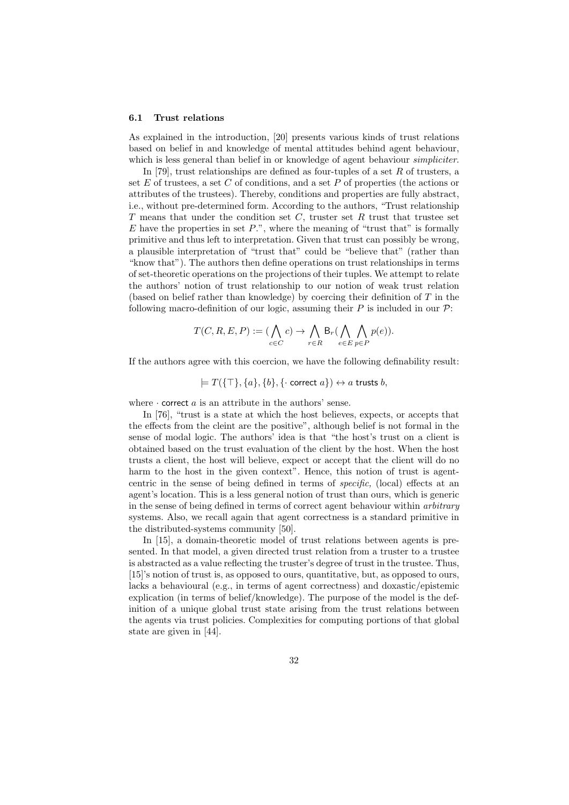#### 6.1 Trust relations

As explained in the introduction, [20] presents various kinds of trust relations based on belief in and knowledge of mental attitudes behind agent behaviour, which is less general than belief in or knowledge of agent behaviour *simpliciter*.

In [79], trust relationships are defined as four-tuples of a set  $R$  of trusters, a set  $E$  of trustees, a set  $C$  of conditions, and a set  $P$  of properties (the actions or attributes of the trustees). Thereby, conditions and properties are fully abstract, i.e., without pre-determined form. According to the authors, "Trust relationship T means that under the condition set C, truster set R trust that trustee set  $E$  have the properties in set  $P$ .", where the meaning of "trust that" is formally primitive and thus left to interpretation. Given that trust can possibly be wrong, a plausible interpretation of "trust that" could be "believe that" (rather than "know that"). The authors then define operations on trust relationships in terms of set-theoretic operations on the projections of their tuples. We attempt to relate the authors' notion of trust relationship to our notion of weak trust relation (based on belief rather than knowledge) by coercing their definition of  $T$  in the following macro-definition of our logic, assuming their  $P$  is included in our  $\mathcal{P}$ :

$$
T(C, R, E, P) := (\bigwedge_{c \in C} c) \to \bigwedge_{r \in R} \mathsf{B}_r(\bigwedge_{e \in E} \bigwedge_{p \in P} p(e)).
$$

If the authors agree with this coercion, we have the following definability result:

 $= T(\{\top\}, \{a\}, \{b\}, \{\cdot \text{ correct } a\}) \leftrightarrow a \text{ trusts } b,$ 

where  $\cdot$  correct  $a$  is an attribute in the authors' sense.

In [76], "trust is a state at which the host believes, expects, or accepts that the effects from the cleint are the positive", although belief is not formal in the sense of modal logic. The authors' idea is that "the host's trust on a client is obtained based on the trust evaluation of the client by the host. When the host trusts a client, the host will believe, expect or accept that the client will do no harm to the host in the given context". Hence, this notion of trust is agentcentric in the sense of being defined in terms of specific, (local) effects at an agent's location. This is a less general notion of trust than ours, which is generic in the sense of being defined in terms of correct agent behaviour within arbitrary systems. Also, we recall again that agent correctness is a standard primitive in the distributed-systems community [50].

In [15], a domain-theoretic model of trust relations between agents is presented. In that model, a given directed trust relation from a truster to a trustee is abstracted as a value reflecting the truster's degree of trust in the trustee. Thus, [15]'s notion of trust is, as opposed to ours, quantitative, but, as opposed to ours, lacks a behavioural (e.g., in terms of agent correctness) and doxastic/epistemic explication (in terms of belief/knowledge). The purpose of the model is the definition of a unique global trust state arising from the trust relations between the agents via trust policies. Complexities for computing portions of that global state are given in [44].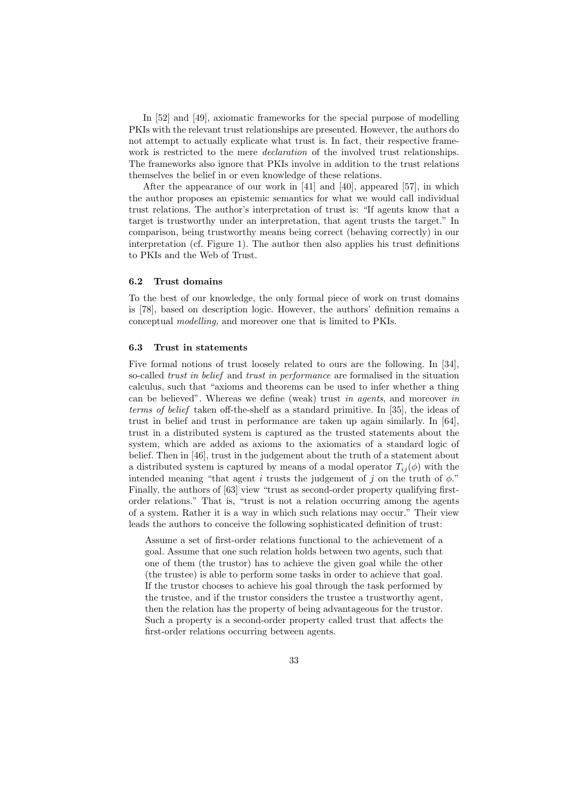In [52] and [49], axiomatic frameworks for the special purpose of modelling PKIs with the relevant trust relationships are presented. However, the authors do not attempt to actually explicate what trust is. In fact, their respective framework is restricted to the mere *declaration* of the involved trust relationships. The frameworks also ignore that PKIs involve in addition to the trust relations themselves the belief in or even knowledge of these relations.

After the appearance of our work in [41] and [40], appeared [57], in which the author proposes an epistemic semantics for what we would call individual trust relations. The author's interpretation of trust is: "If agents know that a target is trustworthy under an interpretation, that agent trusts the target." In comparison, being trustworthy means being correct (behaving correctly) in our interpretation (cf. Figure 1). The author then also applies his trust definitions to PKIs and the Web of Trust.

#### 6.2 Trust domains

To the best of our knowledge, the only formal piece of work on trust domains is [78], based on description logic. However, the authors' definition remains a conceptual modelling, and moreover one that is limited to PKIs.

#### 6.3 Trust in statements

Five formal notions of trust loosely related to ours are the following. In [34], so-called *trust in belief* and *trust in performance* are formalised in the situation calculus, such that "axioms and theorems can be used to infer whether a thing can be believed". Whereas we define (weak) trust in agents, and moreover in terms of belief taken off-the-shelf as a standard primitive. In [35], the ideas of trust in belief and trust in performance are taken up again similarly. In [64], trust in a distributed system is captured as the trusted statements about the system, which are added as axioms to the axiomatics of a standard logic of belief. Then in [46], trust in the judgement about the truth of a statement about a distributed system is captured by means of a modal operator  $T_{ij}(\phi)$  with the intended meaning "that agent i trusts the judgement of j on the truth of  $\phi$ ." Finally, the authors of [63] view "trust as second-order property qualifying firstorder relations." That is, "trust is not a relation occurring among the agents of a system. Rather it is a way in which such relations may occur." Their view leads the authors to conceive the following sophisticated definition of trust:

Assume a set of first-order relations functional to the achievement of a goal. Assume that one such relation holds between two agents, such that one of them (the trustor) has to achieve the given goal while the other (the trustee) is able to perform some tasks in order to achieve that goal. If the trustor chooses to achieve his goal through the task performed by the trustee, and if the trustor considers the trustee a trustworthy agent, then the relation has the property of being advantageous for the trustor. Such a property is a second-order property called trust that affects the first-order relations occurring between agents.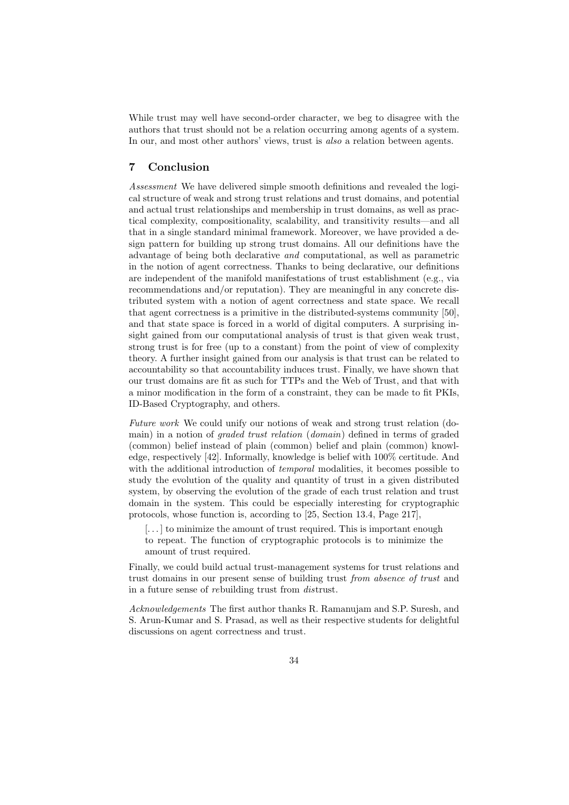While trust may well have second-order character, we beg to disagree with the authors that trust should not be a relation occurring among agents of a system. In our, and most other authors' views, trust is *also* a relation between agents.

## 7 Conclusion

Assessment We have delivered simple smooth definitions and revealed the logical structure of weak and strong trust relations and trust domains, and potential and actual trust relationships and membership in trust domains, as well as practical complexity, compositionality, scalability, and transitivity results—and all that in a single standard minimal framework. Moreover, we have provided a design pattern for building up strong trust domains. All our definitions have the advantage of being both declarative and computational, as well as parametric in the notion of agent correctness. Thanks to being declarative, our definitions are independent of the manifold manifestations of trust establishment (e.g., via recommendations and/or reputation). They are meaningful in any concrete distributed system with a notion of agent correctness and state space. We recall that agent correctness is a primitive in the distributed-systems community [50], and that state space is forced in a world of digital computers. A surprising insight gained from our computational analysis of trust is that given weak trust, strong trust is for free (up to a constant) from the point of view of complexity theory. A further insight gained from our analysis is that trust can be related to accountability so that accountability induces trust. Finally, we have shown that our trust domains are fit as such for TTPs and the Web of Trust, and that with a minor modification in the form of a constraint, they can be made to fit PKIs, ID-Based Cryptography, and others.

Future work We could unify our notions of weak and strong trust relation (domain) in a notion of graded trust relation (domain) defined in terms of graded (common) belief instead of plain (common) belief and plain (common) knowledge, respectively [42]. Informally, knowledge is belief with 100% certitude. And with the additional introduction of *temporal* modalities, it becomes possible to study the evolution of the quality and quantity of trust in a given distributed system, by observing the evolution of the grade of each trust relation and trust domain in the system. This could be especially interesting for cryptographic protocols, whose function is, according to [25, Section 13.4, Page 217],

 $[\dots]$  to minimize the amount of trust required. This is important enough to repeat. The function of cryptographic protocols is to minimize the amount of trust required.

Finally, we could build actual trust-management systems for trust relations and trust domains in our present sense of building trust from absence of trust and in a future sense of rebuilding trust from distrust.

Acknowledgements The first author thanks R. Ramanujam and S.P. Suresh, and S. Arun-Kumar and S. Prasad, as well as their respective students for delightful discussions on agent correctness and trust.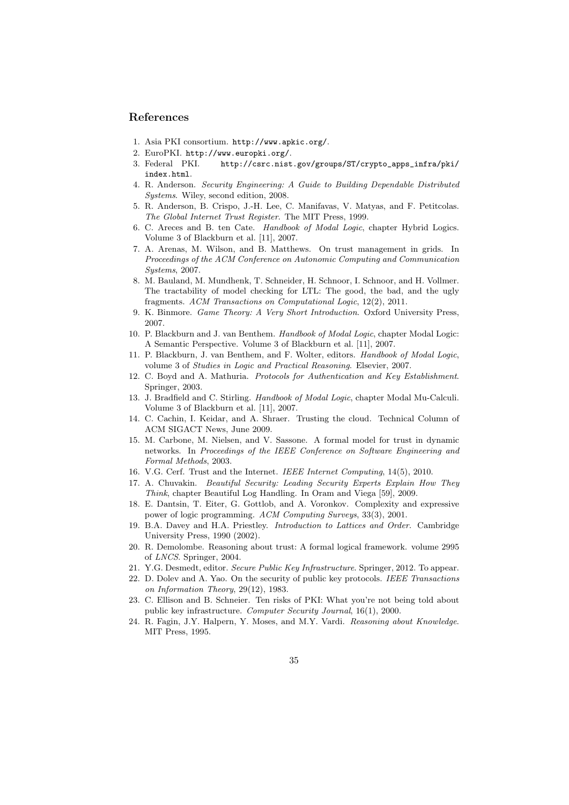## References

- 1. Asia PKI consortium. http://www.apkic.org/.
- 2. EuroPKI. http://www.europki.org/.
- 3. Federal PKI. http://csrc.nist.gov/groups/ST/crypto\_apps\_infra/pki/ index.html.
- 4. R. Anderson. Security Engineering: A Guide to Building Dependable Distributed Systems. Wiley, second edition, 2008.
- 5. R. Anderson, B. Crispo, J.-H. Lee, C. Manifavas, V. Matyas, and F. Petitcolas. The Global Internet Trust Register. The MIT Press, 1999.
- 6. C. Areces and B. ten Cate. Handbook of Modal Logic, chapter Hybrid Logics. Volume 3 of Blackburn et al. [11], 2007.
- 7. A. Arenas, M. Wilson, and B. Matthews. On trust management in grids. In Proceedings of the ACM Conference on Autonomic Computing and Communication Systems, 2007.
- 8. M. Bauland, M. Mundhenk, T. Schneider, H. Schnoor, I. Schnoor, and H. Vollmer. The tractability of model checking for LTL: The good, the bad, and the ugly fragments. ACM Transactions on Computational Logic, 12(2), 2011.
- 9. K. Binmore. Game Theory: A Very Short Introduction. Oxford University Press, 2007.
- 10. P. Blackburn and J. van Benthem. Handbook of Modal Logic, chapter Modal Logic: A Semantic Perspective. Volume 3 of Blackburn et al. [11], 2007.
- 11. P. Blackburn, J. van Benthem, and F. Wolter, editors. Handbook of Modal Logic, volume 3 of Studies in Logic and Practical Reasoning. Elsevier, 2007.
- 12. C. Boyd and A. Mathuria. Protocols for Authentication and Key Establishment. Springer, 2003.
- 13. J. Bradfield and C. Stirling. Handbook of Modal Logic, chapter Modal Mu-Calculi. Volume 3 of Blackburn et al. [11], 2007.
- 14. C. Cachin, I. Keidar, and A. Shraer. Trusting the cloud. Technical Column of ACM SIGACT News, June 2009.
- 15. M. Carbone, M. Nielsen, and V. Sassone. A formal model for trust in dynamic networks. In Proceedings of the IEEE Conference on Software Engineering and Formal Methods, 2003.
- 16. V.G. Cerf. Trust and the Internet. IEEE Internet Computing, 14(5), 2010.
- 17. A. Chuvakin. Beautiful Security: Leading Security Experts Explain How They Think, chapter Beautiful Log Handling. In Oram and Viega [59], 2009.
- 18. E. Dantsin, T. Eiter, G. Gottlob, and A. Voronkov. Complexity and expressive power of logic programming. ACM Computing Surveys, 33(3), 2001.
- 19. B.A. Davey and H.A. Priestley. Introduction to Lattices and Order. Cambridge University Press, 1990 (2002).
- 20. R. Demolombe. Reasoning about trust: A formal logical framework. volume 2995 of LNCS. Springer, 2004.
- 21. Y.G. Desmedt, editor. Secure Public Key Infrastructure. Springer, 2012. To appear.
- 22. D. Dolev and A. Yao. On the security of public key protocols. IEEE Transactions on Information Theory, 29(12), 1983.
- 23. C. Ellison and B. Schneier. Ten risks of PKI: What you're not being told about public key infrastructure. Computer Security Journal, 16(1), 2000.
- 24. R. Fagin, J.Y. Halpern, Y. Moses, and M.Y. Vardi. Reasoning about Knowledge. MIT Press, 1995.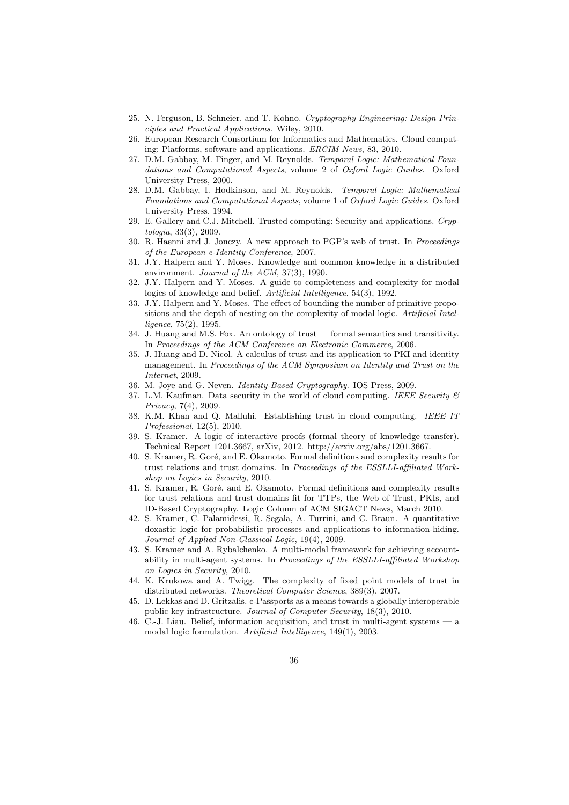- 25. N. Ferguson, B. Schneier, and T. Kohno. Cryptography Engineering: Design Principles and Practical Applications. Wiley, 2010.
- 26. European Research Consortium for Informatics and Mathematics. Cloud computing: Platforms, software and applications. ERCIM News, 83, 2010.
- 27. D.M. Gabbay, M. Finger, and M. Reynolds. Temporal Logic: Mathematical Foundations and Computational Aspects, volume 2 of Oxford Logic Guides. Oxford University Press, 2000.
- 28. D.M. Gabbay, I. Hodkinson, and M. Reynolds. Temporal Logic: Mathematical Foundations and Computational Aspects, volume 1 of Oxford Logic Guides. Oxford University Press, 1994.
- 29. E. Gallery and C.J. Mitchell. Trusted computing: Security and applications. Cryptologia, 33(3), 2009.
- 30. R. Haenni and J. Jonczy. A new approach to PGP's web of trust. In Proceedings of the European e-Identity Conference, 2007.
- 31. J.Y. Halpern and Y. Moses. Knowledge and common knowledge in a distributed environment. Journal of the ACM, 37(3), 1990.
- 32. J.Y. Halpern and Y. Moses. A guide to completeness and complexity for modal logics of knowledge and belief. Artificial Intelligence, 54(3), 1992.
- 33. J.Y. Halpern and Y. Moses. The effect of bounding the number of primitive propositions and the depth of nesting on the complexity of modal logic. Artificial Intelligence, 75(2), 1995.
- 34. J. Huang and M.S. Fox. An ontology of trust formal semantics and transitivity. In Proceedings of the ACM Conference on Electronic Commerce, 2006.
- 35. J. Huang and D. Nicol. A calculus of trust and its application to PKI and identity management. In Proceedings of the ACM Symposium on Identity and Trust on the Internet, 2009.
- 36. M. Joye and G. Neven. Identity-Based Cryptography. IOS Press, 2009.
- 37. L.M. Kaufman. Data security in the world of cloud computing. IEEE Security  $\mathcal B$ Privacy, 7(4), 2009.
- 38. K.M. Khan and Q. Malluhi. Establishing trust in cloud computing. IEEE IT Professional, 12(5), 2010.
- 39. S. Kramer. A logic of interactive proofs (formal theory of knowledge transfer). Technical Report 1201.3667, arXiv, 2012. http://arxiv.org/abs/1201.3667.
- 40. S. Kramer, R. Goré, and E. Okamoto. Formal definitions and complexity results for trust relations and trust domains. In Proceedings of the ESSLLI-affiliated Workshop on Logics in Security, 2010.
- 41. S. Kramer, R. Goré, and E. Okamoto. Formal definitions and complexity results for trust relations and trust domains fit for TTPs, the Web of Trust, PKIs, and ID-Based Cryptography. Logic Column of ACM SIGACT News, March 2010.
- 42. S. Kramer, C. Palamidessi, R. Segala, A. Turrini, and C. Braun. A quantitative doxastic logic for probabilistic processes and applications to information-hiding. Journal of Applied Non-Classical Logic, 19(4), 2009.
- 43. S. Kramer and A. Rybalchenko. A multi-modal framework for achieving accountability in multi-agent systems. In Proceedings of the ESSLLI-affiliated Workshop on Logics in Security, 2010.
- 44. K. Krukowa and A. Twigg. The complexity of fixed point models of trust in distributed networks. Theoretical Computer Science, 389(3), 2007.
- 45. D. Lekkas and D. Gritzalis. e-Passports as a means towards a globally interoperable public key infrastructure. Journal of Computer Security, 18(3), 2010.
- 46. C.-J. Liau. Belief, information acquisition, and trust in multi-agent systems a modal logic formulation. Artificial Intelligence, 149(1), 2003.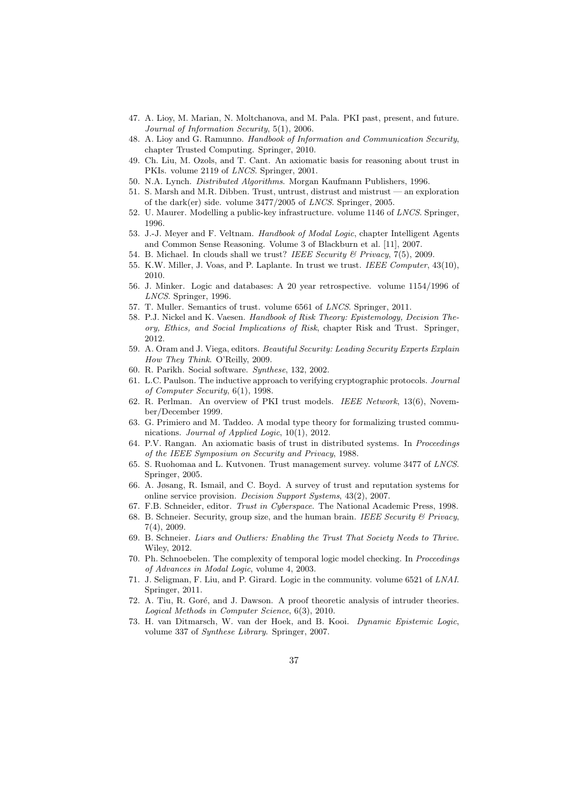- 47. A. Lioy, M. Marian, N. Moltchanova, and M. Pala. PKI past, present, and future. Journal of Information Security, 5(1), 2006.
- 48. A. Lioy and G. Ramunno. Handbook of Information and Communication Security, chapter Trusted Computing. Springer, 2010.
- 49. Ch. Liu, M. Ozols, and T. Cant. An axiomatic basis for reasoning about trust in PKIs. volume 2119 of LNCS. Springer, 2001.
- 50. N.A. Lynch. Distributed Algorithms. Morgan Kaufmann Publishers, 1996.
- 51. S. Marsh and M.R. Dibben. Trust, untrust, distrust and mistrust an exploration of the dark(er) side. volume 3477/2005 of LNCS. Springer, 2005.
- 52. U. Maurer. Modelling a public-key infrastructure. volume 1146 of LNCS. Springer, 1996.
- 53. J.-J. Meyer and F. Veltnam. Handbook of Modal Logic, chapter Intelligent Agents and Common Sense Reasoning. Volume 3 of Blackburn et al. [11], 2007.
- 54. B. Michael. In clouds shall we trust? IEEE Security & Privacy, 7(5), 2009.
- 55. K.W. Miller, J. Voas, and P. Laplante. In trust we trust. IEEE Computer, 43(10), 2010.
- 56. J. Minker. Logic and databases: A 20 year retrospective. volume 1154/1996 of LNCS. Springer, 1996.
- 57. T. Muller. Semantics of trust. volume 6561 of LNCS. Springer, 2011.
- 58. P.J. Nickel and K. Vaesen. Handbook of Risk Theory: Epistemology, Decision Theory, Ethics, and Social Implications of Risk, chapter Risk and Trust. Springer, 2012.
- 59. A. Oram and J. Viega, editors. Beautiful Security: Leading Security Experts Explain How They Think. O'Reilly, 2009.
- 60. R. Parikh. Social software. Synthese, 132, 2002.
- 61. L.C. Paulson. The inductive approach to verifying cryptographic protocols. Journal of Computer Security, 6(1), 1998.
- 62. R. Perlman. An overview of PKI trust models. IEEE Network, 13(6), November/December 1999.
- 63. G. Primiero and M. Taddeo. A modal type theory for formalizing trusted communications. Journal of Applied Logic, 10(1), 2012.
- 64. P.V. Rangan. An axiomatic basis of trust in distributed systems. In Proceedings of the IEEE Symposium on Security and Privacy, 1988.
- 65. S. Ruohomaa and L. Kutvonen. Trust management survey. volume 3477 of LNCS. Springer, 2005.
- 66. A. Jøsang, R. Ismail, and C. Boyd. A survey of trust and reputation systems for online service provision. Decision Support Systems, 43(2), 2007.
- 67. F.B. Schneider, editor. Trust in Cyberspace. The National Academic Press, 1998.
- 68. B. Schneier. Security, group size, and the human brain. IEEE Security  $\mathcal B$  Privacy, 7(4), 2009.
- 69. B. Schneier. Liars and Outliers: Enabling the Trust That Society Needs to Thrive. Wiley, 2012.
- 70. Ph. Schnoebelen. The complexity of temporal logic model checking. In Proceedings of Advances in Modal Logic, volume 4, 2003.
- 71. J. Seligman, F. Liu, and P. Girard. Logic in the community. volume 6521 of LNAI. Springer, 2011.
- 72. A. Tiu, R. Goré, and J. Dawson. A proof theoretic analysis of intruder theories. Logical Methods in Computer Science, 6(3), 2010.
- 73. H. van Ditmarsch, W. van der Hoek, and B. Kooi. Dynamic Epistemic Logic, volume 337 of Synthese Library. Springer, 2007.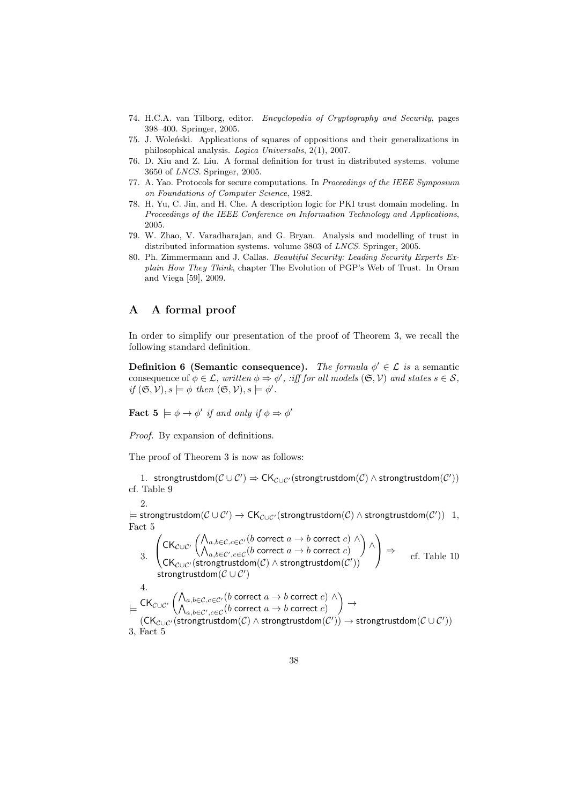- 74. H.C.A. van Tilborg, editor. Encyclopedia of Cryptography and Security, pages 398–400. Springer, 2005.
- 75. J. Woleński. Applications of squares of oppositions and their generalizations in philosophical analysis. Logica Universalis, 2(1), 2007.
- 76. D. Xiu and Z. Liu. A formal definition for trust in distributed systems. volume 3650 of LNCS. Springer, 2005.
- 77. A. Yao. Protocols for secure computations. In Proceedings of the IEEE Symposium on Foundations of Computer Science, 1982.
- 78. H. Yu, C. Jin, and H. Che. A description logic for PKI trust domain modeling. In Proceedings of the IEEE Conference on Information Technology and Applications, 2005.
- 79. W. Zhao, V. Varadharajan, and G. Bryan. Analysis and modelling of trust in distributed information systems. volume 3803 of LNCS. Springer, 2005.
- 80. Ph. Zimmermann and J. Callas. Beautiful Security: Leading Security Experts Explain How They Think, chapter The Evolution of PGP's Web of Trust. In Oram and Viega [59], 2009.

# A A formal proof

In order to simplify our presentation of the proof of Theorem 3, we recall the following standard definition.

**Definition 6 (Semantic consequence).** The formula  $\phi' \in \mathcal{L}$  is a semantic consequence of  $\phi \in \mathcal{L}$ , written  $\phi \Rightarrow \phi'$ , :iff for all models  $(\mathfrak{S}, \mathcal{V})$  and states  $s \in \mathcal{S}$ , if  $(\mathfrak{S}, \mathcal{V}), s \models \phi$  then  $(\mathfrak{S}, \mathcal{V}), s \models \phi'.$ 

**Fact**  $\mathbf{5} \models \phi \rightarrow \phi'$  if and only if  $\phi \Rightarrow \phi'$ 

Proof. By expansion of definitions.

The proof of Theorem 3 is now as follows:

1. strongtrustdom $(\mathcal{C}\cup\mathcal{C}')\Rightarrow\mathsf{CK}_{\mathcal{C}\cup\mathcal{C}'}(\mathsf{strongtrustdom}(\mathcal{C})\wedge\mathsf{strongtrustdom}(\mathcal{C}'))$ cf. Table 9

2.

 $\models$  strongtrustdom $(\mathcal{C}\cup\mathcal{C}')\to \mathsf{CK}_{\mathcal{C}\cup\mathcal{C}'}(\mathsf{strongtrustdom}(\mathcal{C})\wedge \mathsf{strongtrustdom}(\mathcal{C}'))\; \; 1,$ Fact 5

3. 
$$
\begin{pmatrix}\nCK_{\mathcal{C}\cup\mathcal{C}'}\left(\bigwedge_{a,b\in\mathcal{C},c\in\mathcal{C}'}(b \text{ correct } a\rightarrow b \text{ correct } c) \land \bigwedge_{a,b\in\mathcal{C}',c\in\mathcal{C}}(b \text{ correct } a\rightarrow b \text{ correct } c)\right) \land \\
\text{CK}_{\mathcal{C}\cup\mathcal{C}'}(\text{strongtrustdom}(\mathcal{C}) \land \text{strongtrustdom}(\mathcal{C}')) \\
\text{strongtrustdom}(\mathcal{C}\cup\mathcal{C}')\n\end{pmatrix} \Rightarrow \text{cf. Table 10}
$$
\n4. 
$$
\models \text{CK}_{\mathcal{C}\cup\mathcal{C}'}\left(\bigwedge_{a,b\in\mathcal{C},c\in\mathcal{C}}(b \text{ correct } a\rightarrow b \text{ correct } c) \land \bigwedge_{a,b\in\mathcal{C}',c\in\mathcal{C}}(b \text{ correct } a\rightarrow b \text{ correct } c)\right) \rightarrow (\text{CK}_{\mathcal{C}\cup\mathcal{C}'}(\text{strongtrustdom}(\mathcal{C}) \land \text{strongtrustdom}(\mathcal{C}')) \Rightarrow \text{strongtrustdom}(\mathcal{C}\cup\mathcal{C}'))
$$
\n3, Fact 5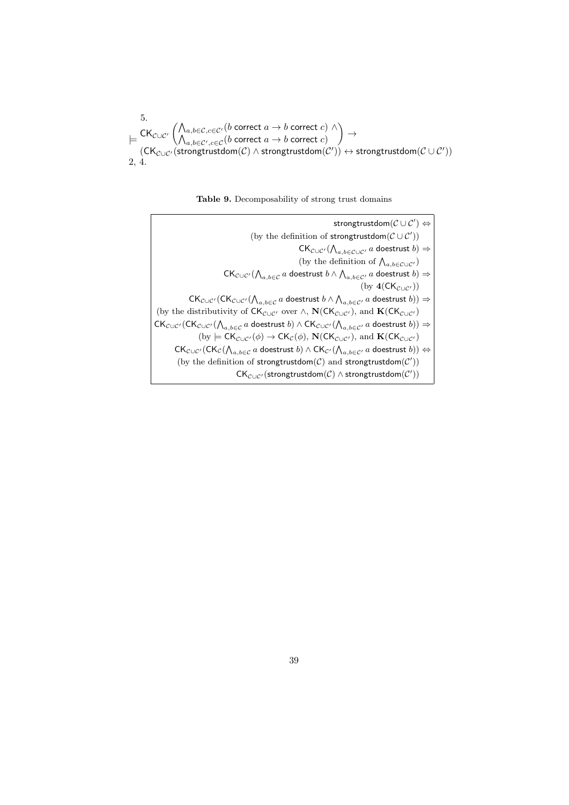5.  
\n
$$
\models \text{CK}_{\mathcal{C}\cup\mathcal{C}'} \left( \bigwedge_{a,b\in\mathcal{C},c\in\mathcal{C}'} (b \text{ correct } a \to b \text{ correct } c) \land \right) \to
$$
\n
$$
\left( \text{CK}_{\mathcal{C}\cup\mathcal{C}'} \left( \bigwedge_{a,b\in\mathcal{C}',c\in\mathcal{C}} (b \text{ correct } a \to b \text{ correct } c) \right) \to \text{strongtrustdom}(\mathcal{C}\cup\mathcal{C}'))
$$
\n2, 4.

Table 9. Decomposability of strong trust domains

| strongtrustdom $(C \cup C') \Leftrightarrow$                                                                                                                                                                                   |
|--------------------------------------------------------------------------------------------------------------------------------------------------------------------------------------------------------------------------------|
| (by the definition of strongtrustdom $(C \cup C')$ )                                                                                                                                                                           |
| $CK_{\mathcal{C}\cup\mathcal{C}'}(\bigwedge_{a,b\in\mathcal{C}\cup\mathcal{C}'}a$ doestrust $b)\Rightarrow$                                                                                                                    |
| (by the definition of $\bigwedge_{a,b \in \mathcal{C} \cup \mathcal{C}'}$ )                                                                                                                                                    |
| $CK_{\mathcal{C}\cup\mathcal{C}'}(\bigwedge_{a,b\in\mathcal{C}}a$ doestrust $b\wedge\bigwedge_{a,b\in\mathcal{C}'}a$ doestrust $b)\Rightarrow$                                                                                 |
| $(\text{by } 4(CK_{\mathcal{C} \cup \mathcal{C}'}))$                                                                                                                                                                           |
| $CK_{\mathcal{C}\cup\mathcal{C}'}(CK_{\mathcal{C}\cup\mathcal{C}'}(\bigwedge_{a,b\in\mathcal{C}}a\text{ doestrust }b\wedge\bigwedge_{a,b\in\mathcal{C}'}a\text{ doestrust }b))\Rightarrow$                                     |
| (by the distributivity of $CK_{\mathcal{C}\cup\mathcal{C}'}$ over $\wedge$ , $\mathbf{N}(CK_{\mathcal{C}\cup\mathcal{C}'})$ , and $\mathbf{K}(CK_{\mathcal{C}\cup\mathcal{C}'})$                                               |
| $CK_{\mathcal{C}\cup\mathcal{C}'}(CK_{\mathcal{C}\cup\mathcal{C}'}(\bigwedge_{a,b\in\mathcal{C}}a\text{ doestrust }b)\wedge CK_{\mathcal{C}\cup\mathcal{C}'}(\bigwedge_{a,b\in\mathcal{C}'}a\text{ doestrust }b))\Rightarrow$  |
| (by $\models \mathsf{CK}_{\mathcal{C}\cup\mathcal{C}'}(\phi) \rightarrow \mathsf{CK}_{\mathcal{C}}(\phi), \mathbf{N}(\mathsf{CK}_{\mathcal{C}\cup\mathcal{C}'})$ , and $\mathbf{K}(\mathsf{CK}_{\mathcal{C}\cup\mathcal{C}'})$ |
| $CK_{\mathcal{C}\cup\mathcal{C}'}(CK_{\mathcal{C}}(\bigwedge_{a,b\in\mathcal{C}}a\text{ doestrust }b)\wedge CK_{\mathcal{C}'}(\bigwedge_{a,b\in\mathcal{C}'}a\text{ doestrust }b))\Leftrightarrow$                             |
| (by the definition of strongtrustdom( $C$ ) and strongtrustdom( $C'$ ))                                                                                                                                                        |
| $CK_{\mathcal{C}\cup\mathcal{C}'}(\text{strongtrustdom}(\mathcal{C})\wedge \text{strongtrustdom}(\mathcal{C}'))$                                                                                                               |